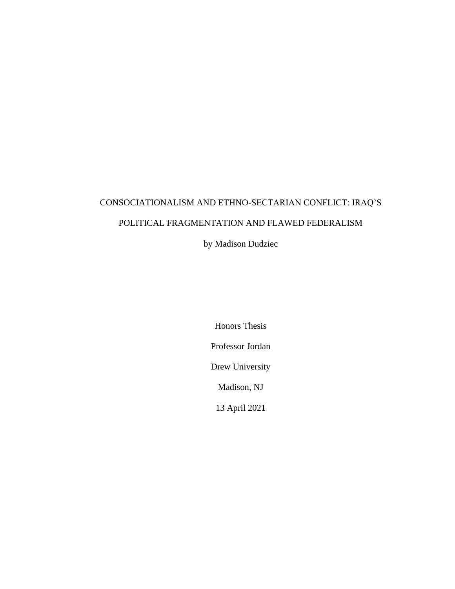# CONSOCIATIONALISM AND ETHNO-SECTARIAN CONFLICT: IRAQ'S POLITICAL FRAGMENTATION AND FLAWED FEDERALISM

by Madison Dudziec

Honors Thesis Professor Jordan Drew University Madison, NJ 13 April 2021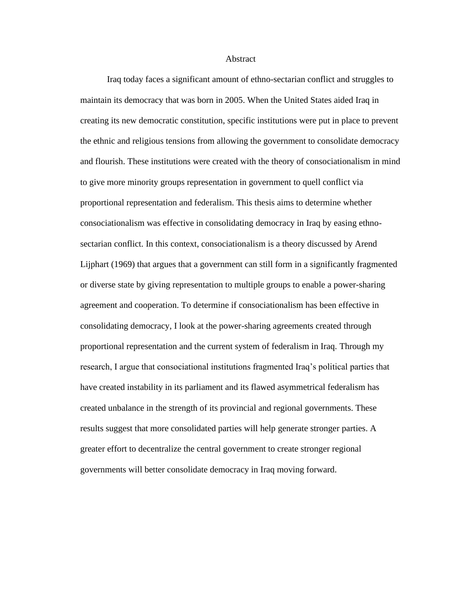**Abstract** 

Iraq today faces a significant amount of ethno-sectarian conflict and struggles to maintain its democracy that was born in 2005. When the United States aided Iraq in creating its new democratic constitution, specific institutions were put in place to prevent the ethnic and religious tensions from allowing the government to consolidate democracy and flourish. These institutions were created with the theory of consociationalism in mind to give more minority groups representation in government to quell conflict via proportional representation and federalism. This thesis aims to determine whether consociationalism was effective in consolidating democracy in Iraq by easing ethnosectarian conflict. In this context, consociationalism is a theory discussed by Arend Lijphart (1969) that argues that a government can still form in a significantly fragmented or diverse state by giving representation to multiple groups to enable a power-sharing agreement and cooperation. To determine if consociationalism has been effective in consolidating democracy, I look at the power-sharing agreements created through proportional representation and the current system of federalism in Iraq. Through my research, I argue that consociational institutions fragmented Iraq's political parties that have created instability in its parliament and its flawed asymmetrical federalism has created unbalance in the strength of its provincial and regional governments. These results suggest that more consolidated parties will help generate stronger parties. A greater effort to decentralize the central government to create stronger regional governments will better consolidate democracy in Iraq moving forward.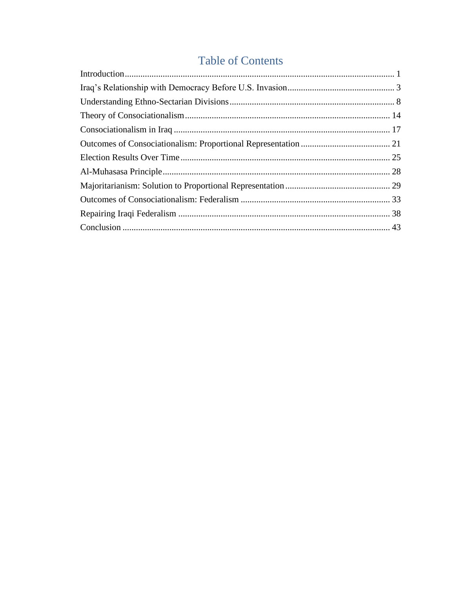## **Table of Contents**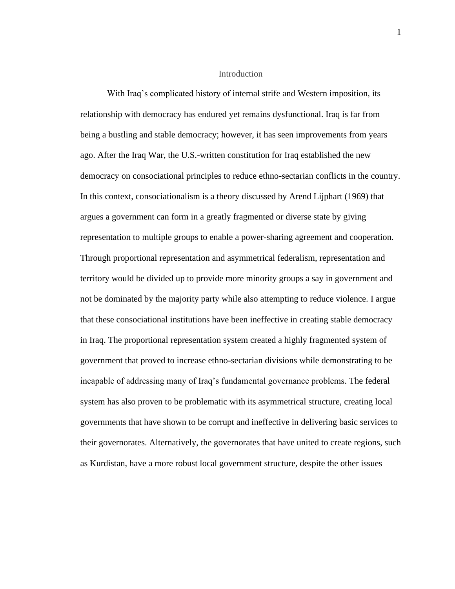#### Introduction

<span id="page-3-0"></span>With Iraq's complicated history of internal strife and Western imposition, its relationship with democracy has endured yet remains dysfunctional. Iraq is far from being a bustling and stable democracy; however, it has seen improvements from years ago. After the Iraq War, the U.S.-written constitution for Iraq established the new democracy on consociational principles to reduce ethno-sectarian conflicts in the country. In this context, consociationalism is a theory discussed by Arend Lijphart (1969) that argues a government can form in a greatly fragmented or diverse state by giving representation to multiple groups to enable a power-sharing agreement and cooperation. Through proportional representation and asymmetrical federalism, representation and territory would be divided up to provide more minority groups a say in government and not be dominated by the majority party while also attempting to reduce violence. I argue that these consociational institutions have been ineffective in creating stable democracy in Iraq. The proportional representation system created a highly fragmented system of government that proved to increase ethno-sectarian divisions while demonstrating to be incapable of addressing many of Iraq's fundamental governance problems. The federal system has also proven to be problematic with its asymmetrical structure, creating local governments that have shown to be corrupt and ineffective in delivering basic services to their governorates. Alternatively, the governorates that have united to create regions, such as Kurdistan, have a more robust local government structure, despite the other issues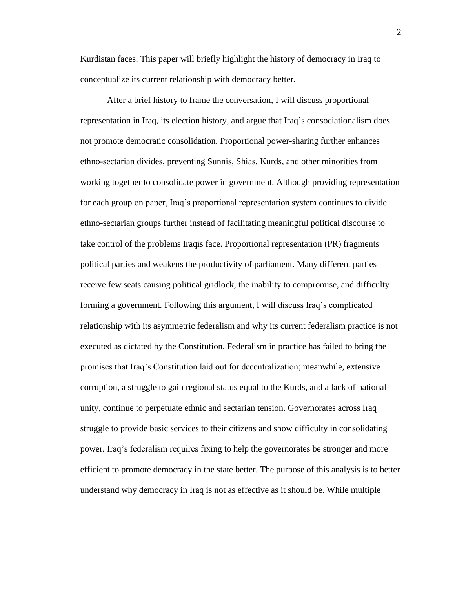Kurdistan faces. This paper will briefly highlight the history of democracy in Iraq to conceptualize its current relationship with democracy better.

After a brief history to frame the conversation, I will discuss proportional representation in Iraq, its election history, and argue that Iraq's consociationalism does not promote democratic consolidation. Proportional power-sharing further enhances ethno-sectarian divides, preventing Sunnis, Shias, Kurds, and other minorities from working together to consolidate power in government. Although providing representation for each group on paper, Iraq's proportional representation system continues to divide ethno-sectarian groups further instead of facilitating meaningful political discourse to take control of the problems Iraqis face. Proportional representation (PR) fragments political parties and weakens the productivity of parliament. Many different parties receive few seats causing political gridlock, the inability to compromise, and difficulty forming a government. Following this argument, I will discuss Iraq's complicated relationship with its asymmetric federalism and why its current federalism practice is not executed as dictated by the Constitution. Federalism in practice has failed to bring the promises that Iraq's Constitution laid out for decentralization; meanwhile, extensive corruption, a struggle to gain regional status equal to the Kurds, and a lack of national unity, continue to perpetuate ethnic and sectarian tension. Governorates across Iraq struggle to provide basic services to their citizens and show difficulty in consolidating power. Iraq's federalism requires fixing to help the governorates be stronger and more efficient to promote democracy in the state better. The purpose of this analysis is to better understand why democracy in Iraq is not as effective as it should be. While multiple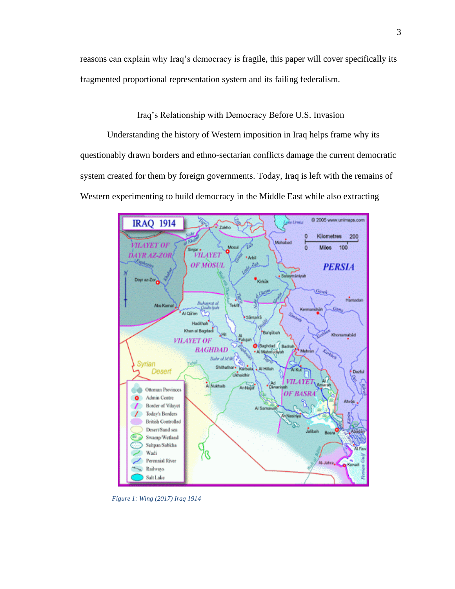reasons can explain why Iraq's democracy is fragile, this paper will cover specifically its fragmented proportional representation system and its failing federalism.

Iraq's Relationship with Democracy Before U.S. Invasion

<span id="page-5-0"></span>Understanding the history of Western imposition in Iraq helps frame why its questionably drawn borders and ethno-sectarian conflicts damage the current democratic system created for them by foreign governments. Today, Iraq is left with the remains of Western experimenting to build democracy in the Middle East while also extracting



*Figure 1: Wing (2017) Iraq 1914*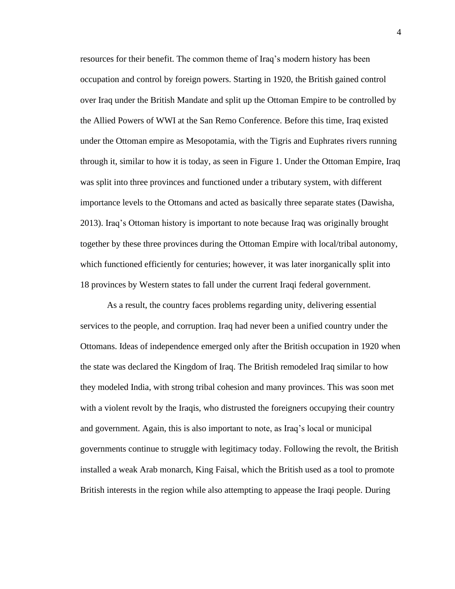resources for their benefit. The common theme of Iraq's modern history has been occupation and control by foreign powers. Starting in 1920, the British gained control over Iraq under the British Mandate and split up the Ottoman Empire to be controlled by the Allied Powers of WWI at the San Remo Conference. Before this time, Iraq existed under the Ottoman empire as Mesopotamia, with the Tigris and Euphrates rivers running through it, similar to how it is today, as seen in Figure 1. Under the Ottoman Empire, Iraq was split into three provinces and functioned under a tributary system, with different importance levels to the Ottomans and acted as basically three separate states (Dawisha, 2013). Iraq's Ottoman history is important to note because Iraq was originally brought together by these three provinces during the Ottoman Empire with local/tribal autonomy, which functioned efficiently for centuries; however, it was later inorganically split into 18 provinces by Western states to fall under the current Iraqi federal government.

As a result, the country faces problems regarding unity, delivering essential services to the people, and corruption. Iraq had never been a unified country under the Ottomans. Ideas of independence emerged only after the British occupation in 1920 when the state was declared the Kingdom of Iraq. The British remodeled Iraq similar to how they modeled India, with strong tribal cohesion and many provinces. This was soon met with a violent revolt by the Iraqis, who distrusted the foreigners occupying their country and government. Again, this is also important to note, as Iraq's local or municipal governments continue to struggle with legitimacy today. Following the revolt, the British installed a weak Arab monarch, King Faisal, which the British used as a tool to promote British interests in the region while also attempting to appease the Iraqi people. During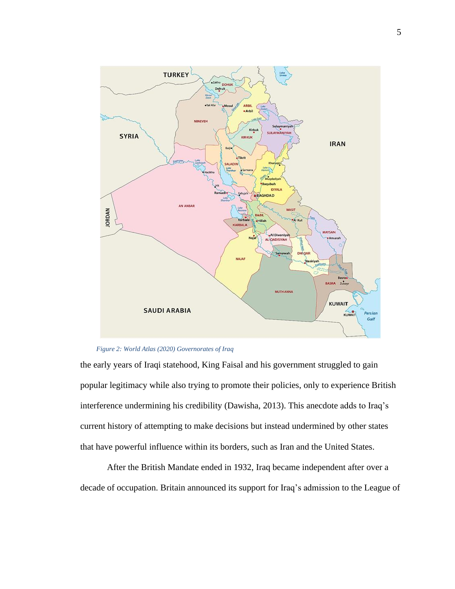

#### *Figure 2: World Atlas (2020) Governorates of Iraq*

the early years of Iraqi statehood, King Faisal and his government struggled to gain popular legitimacy while also trying to promote their policies, only to experience British interference undermining his credibility (Dawisha, 2013). This anecdote adds to Iraq's current history of attempting to make decisions but instead undermined by other states that have powerful influence within its borders, such as Iran and the United States.

After the British Mandate ended in 1932, Iraq became independent after over a decade of occupation. Britain announced its support for Iraq's admission to the League of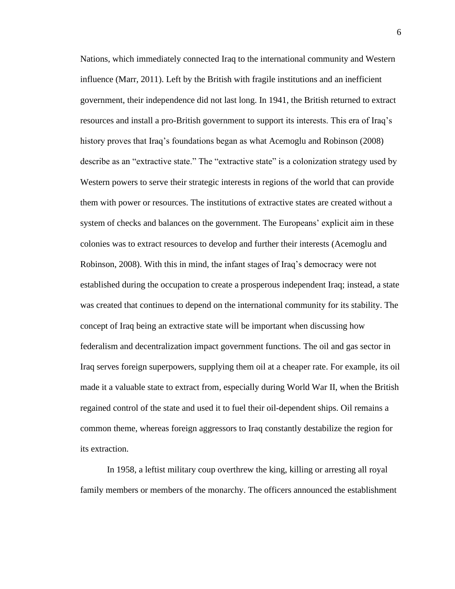Nations, which immediately connected Iraq to the international community and Western influence (Marr, 2011). Left by the British with fragile institutions and an inefficient government, their independence did not last long. In 1941, the British returned to extract resources and install a pro-British government to support its interests. This era of Iraq's history proves that Iraq's foundations began as what Acemoglu and Robinson (2008) describe as an "extractive state." The "extractive state" is a colonization strategy used by Western powers to serve their strategic interests in regions of the world that can provide them with power or resources. The institutions of extractive states are created without a system of checks and balances on the government. The Europeans' explicit aim in these colonies was to extract resources to develop and further their interests (Acemoglu and Robinson, 2008). With this in mind, the infant stages of Iraq's democracy were not established during the occupation to create a prosperous independent Iraq; instead, a state was created that continues to depend on the international community for its stability. The concept of Iraq being an extractive state will be important when discussing how federalism and decentralization impact government functions. The oil and gas sector in Iraq serves foreign superpowers, supplying them oil at a cheaper rate. For example, its oil made it a valuable state to extract from, especially during World War II, when the British regained control of the state and used it to fuel their oil-dependent ships. Oil remains a common theme, whereas foreign aggressors to Iraq constantly destabilize the region for its extraction.

In 1958, a leftist military coup overthrew the king, killing or arresting all royal family members or members of the monarchy. The officers announced the establishment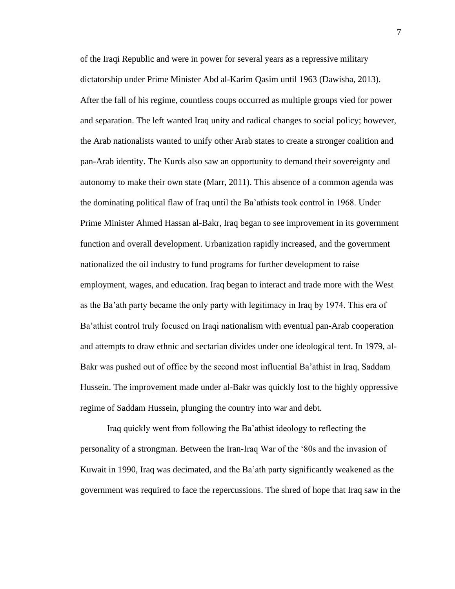of the Iraqi Republic and were in power for several years as a repressive military dictatorship under Prime Minister Abd al-Karim Qasim until 1963 (Dawisha, 2013). After the fall of his regime, countless coups occurred as multiple groups vied for power and separation. The left wanted Iraq unity and radical changes to social policy; however, the Arab nationalists wanted to unify other Arab states to create a stronger coalition and pan-Arab identity. The Kurds also saw an opportunity to demand their sovereignty and autonomy to make their own state (Marr, 2011). This absence of a common agenda was the dominating political flaw of Iraq until the Ba'athists took control in 1968. Under Prime Minister Ahmed Hassan al-Bakr, Iraq began to see improvement in its government function and overall development. Urbanization rapidly increased, and the government nationalized the oil industry to fund programs for further development to raise employment, wages, and education. Iraq began to interact and trade more with the West as the Ba'ath party became the only party with legitimacy in Iraq by 1974. This era of Ba'athist control truly focused on Iraqi nationalism with eventual pan-Arab cooperation and attempts to draw ethnic and sectarian divides under one ideological tent. In 1979, al-Bakr was pushed out of office by the second most influential Ba'athist in Iraq, Saddam Hussein. The improvement made under al-Bakr was quickly lost to the highly oppressive regime of Saddam Hussein, plunging the country into war and debt.

Iraq quickly went from following the Ba'athist ideology to reflecting the personality of a strongman. Between the Iran-Iraq War of the '80s and the invasion of Kuwait in 1990, Iraq was decimated, and the Ba'ath party significantly weakened as the government was required to face the repercussions. The shred of hope that Iraq saw in the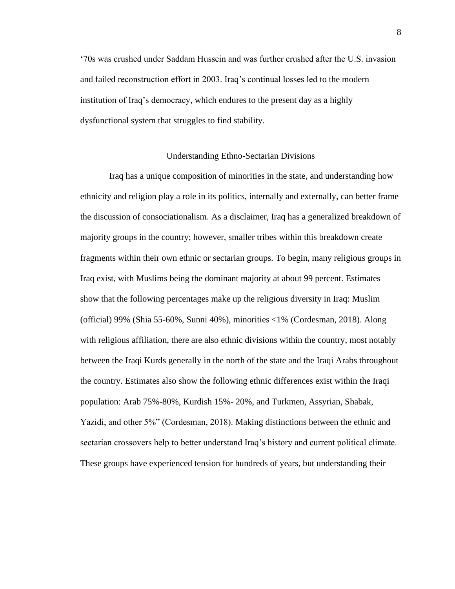'70s was crushed under Saddam Hussein and was further crushed after the U.S. invasion and failed reconstruction effort in 2003. Iraq's continual losses led to the modern institution of Iraq's democracy, which endures to the present day as a highly dysfunctional system that struggles to find stability.

#### Understanding Ethno-Sectarian Divisions

<span id="page-10-0"></span>Iraq has a unique composition of minorities in the state, and understanding how ethnicity and religion play a role in its politics, internally and externally, can better frame the discussion of consociationalism. As a disclaimer, Iraq has a generalized breakdown of majority groups in the country; however, smaller tribes within this breakdown create fragments within their own ethnic or sectarian groups. To begin, many religious groups in Iraq exist, with Muslims being the dominant majority at about 99 percent. Estimates show that the following percentages make up the religious diversity in Iraq: Muslim (official) 99% (Shia 55-60%, Sunni 40%), minorities <1% (Cordesman, 2018). Along with religious affiliation, there are also ethnic divisions within the country, most notably between the Iraqi Kurds generally in the north of the state and the Iraqi Arabs throughout the country. Estimates also show the following ethnic differences exist within the Iraqi population: Arab 75%-80%, Kurdish 15%- 20%, and Turkmen, Assyrian, Shabak, Yazidi, and other 5%" (Cordesman, 2018). Making distinctions between the ethnic and sectarian crossovers help to better understand Iraq's history and current political climate. These groups have experienced tension for hundreds of years, but understanding their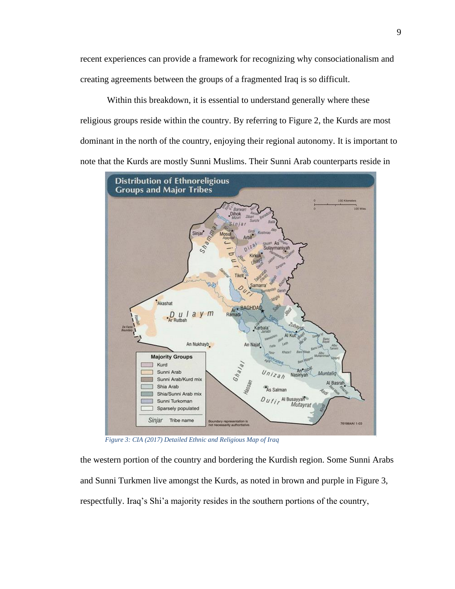recent experiences can provide a framework for recognizing why consociationalism and creating agreements between the groups of a fragmented Iraq is so difficult.

Within this breakdown, it is essential to understand generally where these religious groups reside within the country. By referring to Figure 2, the Kurds are most dominant in the north of the country, enjoying their regional autonomy. It is important to note that the Kurds are mostly Sunni Muslims. Their Sunni Arab counterparts reside in



*Figure 3: CIA (2017) Detailed Ethnic and Religious Map of Iraq*

the western portion of the country and bordering the Kurdish region. Some Sunni Arabs and Sunni Turkmen live amongst the Kurds, as noted in brown and purple in Figure 3, respectfully. Iraq's Shi'a majority resides in the southern portions of the country,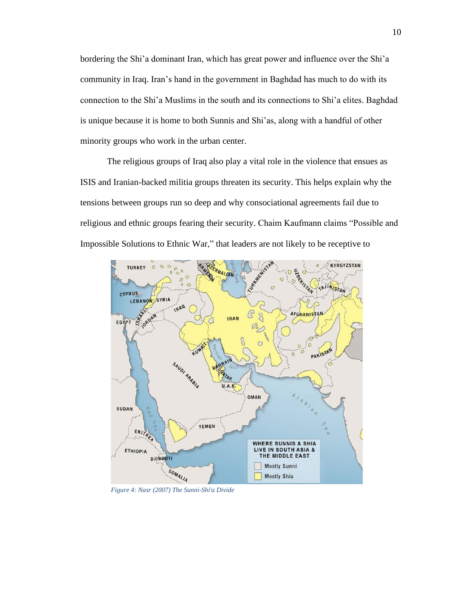bordering the Shi'a dominant Iran, which has great power and influence over the Shi'a community in Iraq. Iran's hand in the government in Baghdad has much to do with its connection to the Shi'a Muslims in the south and its connections to Shi'a elites. Baghdad is unique because it is home to both Sunnis and Shi'as, along with a handful of other minority groups who work in the urban center.

The religious groups of Iraq also play a vital role in the violence that ensues as ISIS and Iranian-backed militia groups threaten its security. This helps explain why the tensions between groups run so deep and why consociational agreements fail due to religious and ethnic groups fearing their security. Chaim Kaufmann claims "Possible and Impossible Solutions to Ethnic War," that leaders are not likely to be receptive to



*Figure 4: Nasr (2007) The Sunni-Shi'a Divide*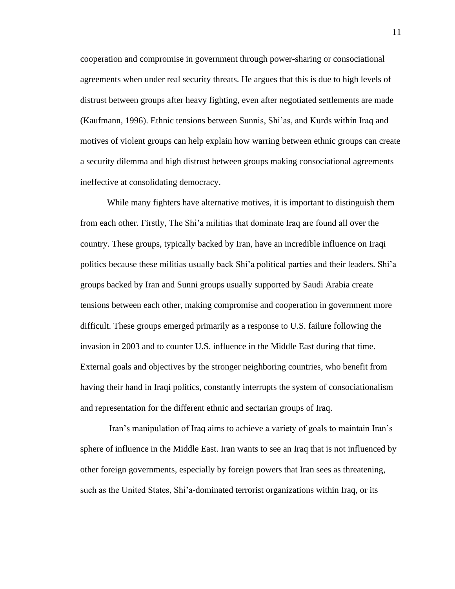cooperation and compromise in government through power-sharing or consociational agreements when under real security threats. He argues that this is due to high levels of distrust between groups after heavy fighting, even after negotiated settlements are made (Kaufmann, 1996). Ethnic tensions between Sunnis, Shi'as, and Kurds within Iraq and motives of violent groups can help explain how warring between ethnic groups can create a security dilemma and high distrust between groups making consociational agreements ineffective at consolidating democracy.

While many fighters have alternative motives, it is important to distinguish them from each other. Firstly, The Shi'a militias that dominate Iraq are found all over the country. These groups, typically backed by Iran, have an incredible influence on Iraqi politics because these militias usually back Shi'a political parties and their leaders. Shi'a groups backed by Iran and Sunni groups usually supported by Saudi Arabia create tensions between each other, making compromise and cooperation in government more difficult. These groups emerged primarily as a response to U.S. failure following the invasion in 2003 and to counter U.S. influence in the Middle East during that time. External goals and objectives by the stronger neighboring countries, who benefit from having their hand in Iraqi politics, constantly interrupts the system of consociationalism and representation for the different ethnic and sectarian groups of Iraq.

Iran's manipulation of Iraq aims to achieve a variety of goals to maintain Iran's sphere of influence in the Middle East. Iran wants to see an Iraq that is not influenced by other foreign governments, especially by foreign powers that Iran sees as threatening, such as the United States, Shi'a-dominated terrorist organizations within Iraq, or its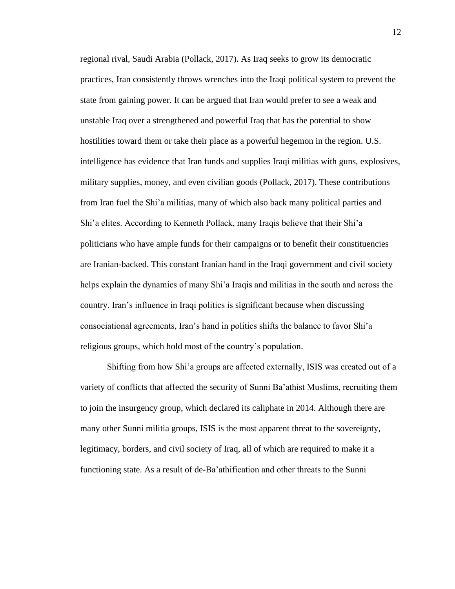regional rival, Saudi Arabia (Pollack, 2017). As Iraq seeks to grow its democratic practices, Iran consistently throws wrenches into the Iraqi political system to prevent the state from gaining power. It can be argued that Iran would prefer to see a weak and unstable Iraq over a strengthened and powerful Iraq that has the potential to show hostilities toward them or take their place as a powerful hegemon in the region. U.S. intelligence has evidence that Iran funds and supplies Iraqi militias with guns, explosives, military supplies, money, and even civilian goods (Pollack, 2017). These contributions from Iran fuel the Shi'a militias, many of which also back many political parties and Shi'a elites. According to Kenneth Pollack, many Iraqis believe that their Shi'a politicians who have ample funds for their campaigns or to benefit their constituencies are Iranian-backed. This constant Iranian hand in the Iraqi government and civil society helps explain the dynamics of many Shi'a Iraqis and militias in the south and across the country. Iran's influence in Iraqi politics is significant because when discussing consociational agreements, Iran's hand in politics shifts the balance to favor Shi'a religious groups, which hold most of the country's population.

Shifting from how Shi'a groups are affected externally, ISIS was created out of a variety of conflicts that affected the security of Sunni Ba'athist Muslims, recruiting them to join the insurgency group, which declared its caliphate in 2014. Although there are many other Sunni militia groups, ISIS is the most apparent threat to the sovereignty, legitimacy, borders, and civil society of Iraq, all of which are required to make it a functioning state. As a result of de-Ba'athification and other threats to the Sunni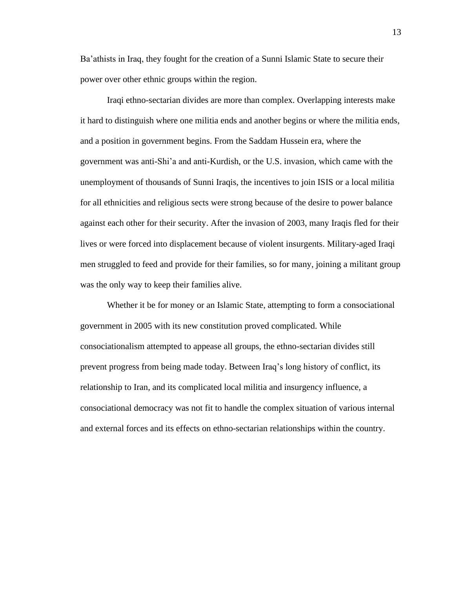Ba'athists in Iraq, they fought for the creation of a Sunni Islamic State to secure their power over other ethnic groups within the region.

Iraqi ethno-sectarian divides are more than complex. Overlapping interests make it hard to distinguish where one militia ends and another begins or where the militia ends, and a position in government begins. From the Saddam Hussein era, where the government was anti-Shi'a and anti-Kurdish, or the U.S. invasion, which came with the unemployment of thousands of Sunni Iraqis, the incentives to join ISIS or a local militia for all ethnicities and religious sects were strong because of the desire to power balance against each other for their security. After the invasion of 2003, many Iraqis fled for their lives or were forced into displacement because of violent insurgents. Military-aged Iraqi men struggled to feed and provide for their families, so for many, joining a militant group was the only way to keep their families alive.

Whether it be for money or an Islamic State, attempting to form a consociational government in 2005 with its new constitution proved complicated. While consociationalism attempted to appease all groups, the ethno-sectarian divides still prevent progress from being made today. Between Iraq's long history of conflict, its relationship to Iran, and its complicated local militia and insurgency influence, a consociational democracy was not fit to handle the complex situation of various internal and external forces and its effects on ethno-sectarian relationships within the country.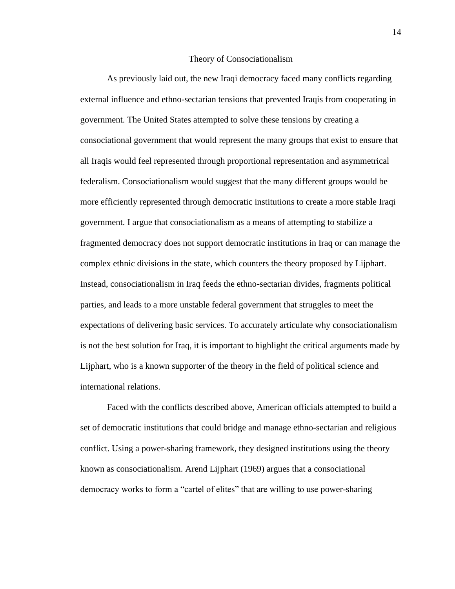#### Theory of Consociationalism

<span id="page-16-0"></span>As previously laid out, the new Iraqi democracy faced many conflicts regarding external influence and ethno-sectarian tensions that prevented Iraqis from cooperating in government. The United States attempted to solve these tensions by creating a consociational government that would represent the many groups that exist to ensure that all Iraqis would feel represented through proportional representation and asymmetrical federalism. Consociationalism would suggest that the many different groups would be more efficiently represented through democratic institutions to create a more stable Iraqi government. I argue that consociationalism as a means of attempting to stabilize a fragmented democracy does not support democratic institutions in Iraq or can manage the complex ethnic divisions in the state, which counters the theory proposed by Lijphart. Instead, consociationalism in Iraq feeds the ethno-sectarian divides, fragments political parties, and leads to a more unstable federal government that struggles to meet the expectations of delivering basic services. To accurately articulate why consociationalism is not the best solution for Iraq, it is important to highlight the critical arguments made by Lijphart, who is a known supporter of the theory in the field of political science and international relations.

Faced with the conflicts described above, American officials attempted to build a set of democratic institutions that could bridge and manage ethno-sectarian and religious conflict. Using a power-sharing framework, they designed institutions using the theory known as consociationalism. Arend Lijphart (1969) argues that a consociational democracy works to form a "cartel of elites" that are willing to use power-sharing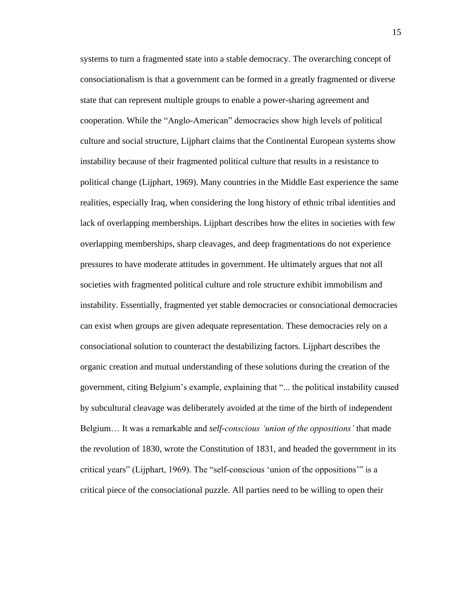systems to turn a fragmented state into a stable democracy. The overarching concept of consociationalism is that a government can be formed in a greatly fragmented or diverse state that can represent multiple groups to enable a power-sharing agreement and cooperation. While the "Anglo-American" democracies show high levels of political culture and social structure, Lijphart claims that the Continental European systems show instability because of their fragmented political culture that results in a resistance to political change (Lijphart, 1969). Many countries in the Middle East experience the same realities, especially Iraq, when considering the long history of ethnic tribal identities and lack of overlapping memberships. Lijphart describes how the elites in societies with few overlapping memberships, sharp cleavages, and deep fragmentations do not experience pressures to have moderate attitudes in government. He ultimately argues that not all societies with fragmented political culture and role structure exhibit immobilism and instability. Essentially, fragmented yet stable democracies or consociational democracies can exist when groups are given adequate representation. These democracies rely on a consociational solution to counteract the destabilizing factors. Lijphart describes the organic creation and mutual understanding of these solutions during the creation of the government, citing Belgium's example, explaining that "... the political instability caused by subcultural cleavage was deliberately avoided at the time of the birth of independent Belgium… It was a remarkable and *self-conscious 'union of the oppositions'* that made the revolution of 1830, wrote the Constitution of 1831, and headed the government in its critical years" (Lijphart, 1969). The "self-conscious 'union of the oppositions'" is a critical piece of the consociational puzzle. All parties need to be willing to open their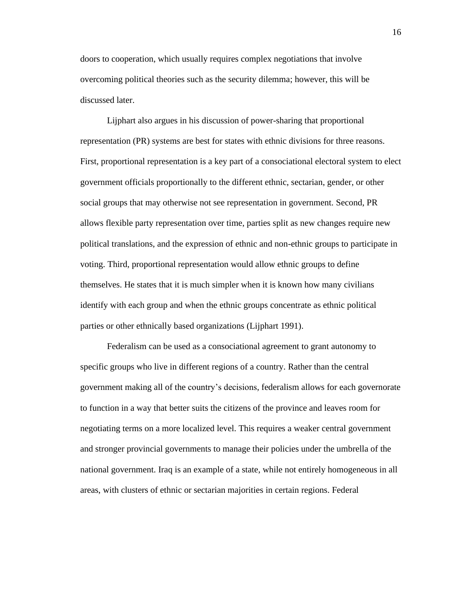doors to cooperation, which usually requires complex negotiations that involve overcoming political theories such as the security dilemma; however, this will be discussed later.

Lijphart also argues in his discussion of power-sharing that proportional representation (PR) systems are best for states with ethnic divisions for three reasons. First, proportional representation is a key part of a consociational electoral system to elect government officials proportionally to the different ethnic, sectarian, gender, or other social groups that may otherwise not see representation in government. Second, PR allows flexible party representation over time, parties split as new changes require new political translations, and the expression of ethnic and non-ethnic groups to participate in voting. Third, proportional representation would allow ethnic groups to define themselves. He states that it is much simpler when it is known how many civilians identify with each group and when the ethnic groups concentrate as ethnic political parties or other ethnically based organizations (Lijphart 1991).

Federalism can be used as a consociational agreement to grant autonomy to specific groups who live in different regions of a country. Rather than the central government making all of the country's decisions, federalism allows for each governorate to function in a way that better suits the citizens of the province and leaves room for negotiating terms on a more localized level. This requires a weaker central government and stronger provincial governments to manage their policies under the umbrella of the national government. Iraq is an example of a state, while not entirely homogeneous in all areas, with clusters of ethnic or sectarian majorities in certain regions. Federal

16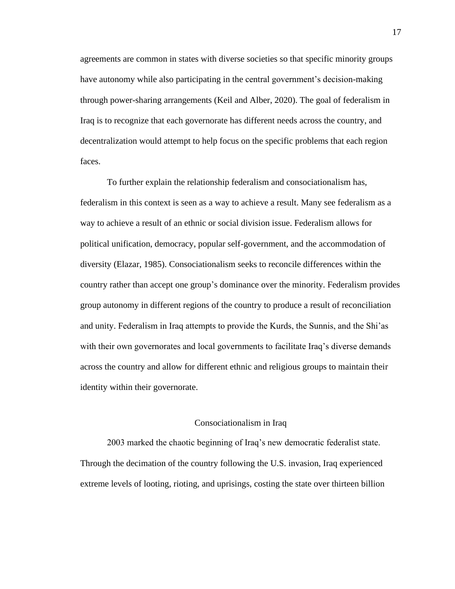agreements are common in states with diverse societies so that specific minority groups have autonomy while also participating in the central government's decision-making through power-sharing arrangements (Keil and Alber, 2020). The goal of federalism in Iraq is to recognize that each governorate has different needs across the country, and decentralization would attempt to help focus on the specific problems that each region faces.

To further explain the relationship federalism and consociationalism has, federalism in this context is seen as a way to achieve a result. Many see federalism as a way to achieve a result of an ethnic or social division issue. Federalism allows for political unification, democracy, popular self-government, and the accommodation of diversity (Elazar, 1985). Consociationalism seeks to reconcile differences within the country rather than accept one group's dominance over the minority. Federalism provides group autonomy in different regions of the country to produce a result of reconciliation and unity. Federalism in Iraq attempts to provide the Kurds, the Sunnis, and the Shi'as with their own governorates and local governments to facilitate Iraq's diverse demands across the country and allow for different ethnic and religious groups to maintain their identity within their governorate.

#### Consociationalism in Iraq

<span id="page-19-0"></span>2003 marked the chaotic beginning of Iraq's new democratic federalist state. Through the decimation of the country following the U.S. invasion, Iraq experienced extreme levels of looting, rioting, and uprisings, costing the state over thirteen billion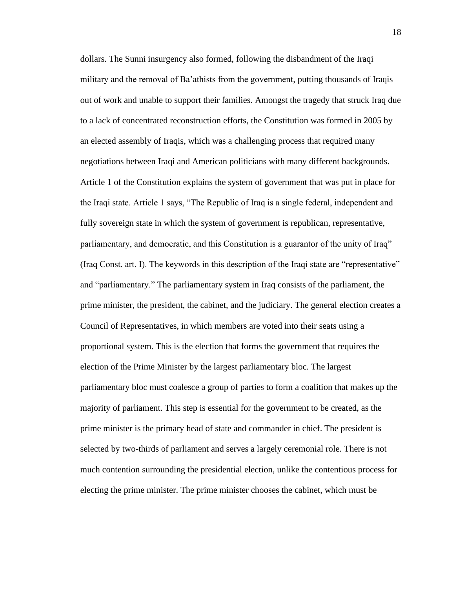dollars. The Sunni insurgency also formed, following the disbandment of the Iraqi military and the removal of Ba'athists from the government, putting thousands of Iraqis out of work and unable to support their families. Amongst the tragedy that struck Iraq due to a lack of concentrated reconstruction efforts, the Constitution was formed in 2005 by an elected assembly of Iraqis, which was a challenging process that required many negotiations between Iraqi and American politicians with many different backgrounds. Article 1 of the Constitution explains the system of government that was put in place for the Iraqi state. Article 1 says, "The Republic of Iraq is a single federal, independent and fully sovereign state in which the system of government is republican, representative, parliamentary, and democratic, and this Constitution is a guarantor of the unity of Iraq" (Iraq Const. art. I). The keywords in this description of the Iraqi state are "representative" and "parliamentary." The parliamentary system in Iraq consists of the parliament, the prime minister, the president, the cabinet, and the judiciary. The general election creates a Council of Representatives, in which members are voted into their seats using a proportional system. This is the election that forms the government that requires the election of the Prime Minister by the largest parliamentary bloc. The largest parliamentary bloc must coalesce a group of parties to form a coalition that makes up the majority of parliament. This step is essential for the government to be created, as the prime minister is the primary head of state and commander in chief. The president is selected by two-thirds of parliament and serves a largely ceremonial role. There is not much contention surrounding the presidential election, unlike the contentious process for electing the prime minister. The prime minister chooses the cabinet, which must be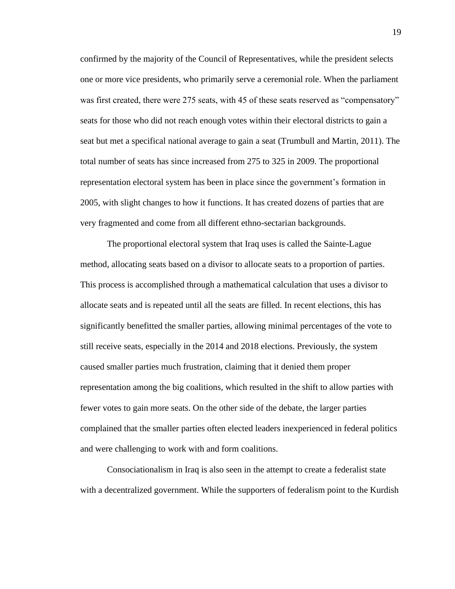confirmed by the majority of the Council of Representatives, while the president selects one or more vice presidents, who primarily serve a ceremonial role. When the parliament was first created, there were 275 seats, with 45 of these seats reserved as "compensatory" seats for those who did not reach enough votes within their electoral districts to gain a seat but met a specifical national average to gain a seat (Trumbull and Martin, 2011). The total number of seats has since increased from 275 to 325 in 2009. The proportional representation electoral system has been in place since the government's formation in 2005, with slight changes to how it functions. It has created dozens of parties that are very fragmented and come from all different ethno-sectarian backgrounds.

The proportional electoral system that Iraq uses is called the Sainte-Lague method, allocating seats based on a divisor to allocate seats to a proportion of parties. This process is accomplished through a mathematical calculation that uses a divisor to allocate seats and is repeated until all the seats are filled. In recent elections, this has significantly benefitted the smaller parties, allowing minimal percentages of the vote to still receive seats, especially in the 2014 and 2018 elections. Previously, the system caused smaller parties much frustration, claiming that it denied them proper representation among the big coalitions, which resulted in the shift to allow parties with fewer votes to gain more seats. On the other side of the debate, the larger parties complained that the smaller parties often elected leaders inexperienced in federal politics and were challenging to work with and form coalitions.

Consociationalism in Iraq is also seen in the attempt to create a federalist state with a decentralized government. While the supporters of federalism point to the Kurdish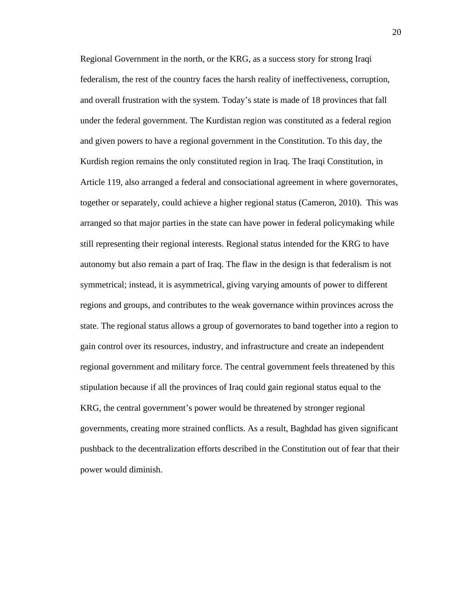Regional Government in the north, or the KRG, as a success story for strong Iraqi federalism, the rest of the country faces the harsh reality of ineffectiveness, corruption, and overall frustration with the system. Today's state is made of 18 provinces that fall under the federal government. The Kurdistan region was constituted as a federal region and given powers to have a regional government in the Constitution. To this day, the Kurdish region remains the only constituted region in Iraq. The Iraqi Constitution, in Article 119, also arranged a federal and consociational agreement in where governorates, together or separately, could achieve a higher regional status (Cameron, 2010). This was arranged so that major parties in the state can have power in federal policymaking while still representing their regional interests. Regional status intended for the KRG to have autonomy but also remain a part of Iraq. The flaw in the design is that federalism is not symmetrical; instead, it is asymmetrical, giving varying amounts of power to different regions and groups, and contributes to the weak governance within provinces across the state. The regional status allows a group of governorates to band together into a region to gain control over its resources, industry, and infrastructure and create an independent regional government and military force. The central government feels threatened by this stipulation because if all the provinces of Iraq could gain regional status equal to the KRG, the central government's power would be threatened by stronger regional governments, creating more strained conflicts. As a result, Baghdad has given significant pushback to the decentralization efforts described in the Constitution out of fear that their power would diminish.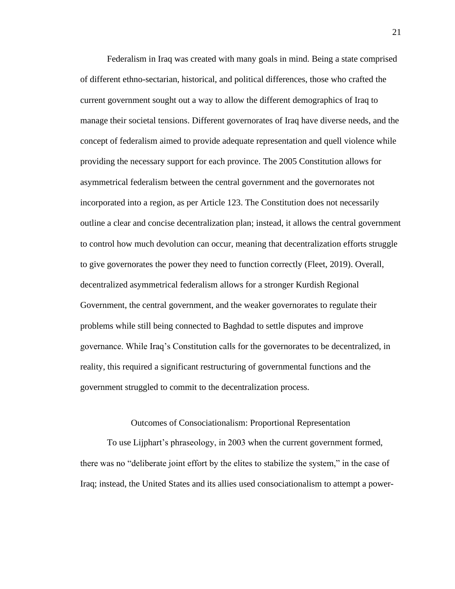Federalism in Iraq was created with many goals in mind. Being a state comprised of different ethno-sectarian, historical, and political differences, those who crafted the current government sought out a way to allow the different demographics of Iraq to manage their societal tensions. Different governorates of Iraq have diverse needs, and the concept of federalism aimed to provide adequate representation and quell violence while providing the necessary support for each province. The 2005 Constitution allows for asymmetrical federalism between the central government and the governorates not incorporated into a region, as per Article 123. The Constitution does not necessarily outline a clear and concise decentralization plan; instead, it allows the central government to control how much devolution can occur, meaning that decentralization efforts struggle to give governorates the power they need to function correctly (Fleet, 2019). Overall, decentralized asymmetrical federalism allows for a stronger Kurdish Regional Government, the central government, and the weaker governorates to regulate their problems while still being connected to Baghdad to settle disputes and improve governance. While Iraq's Constitution calls for the governorates to be decentralized, in reality, this required a significant restructuring of governmental functions and the government struggled to commit to the decentralization process.

#### Outcomes of Consociationalism: Proportional Representation

<span id="page-23-0"></span>To use Lijphart's phraseology, in 2003 when the current government formed, there was no "deliberate joint effort by the elites to stabilize the system," in the case of Iraq; instead, the United States and its allies used consociationalism to attempt a power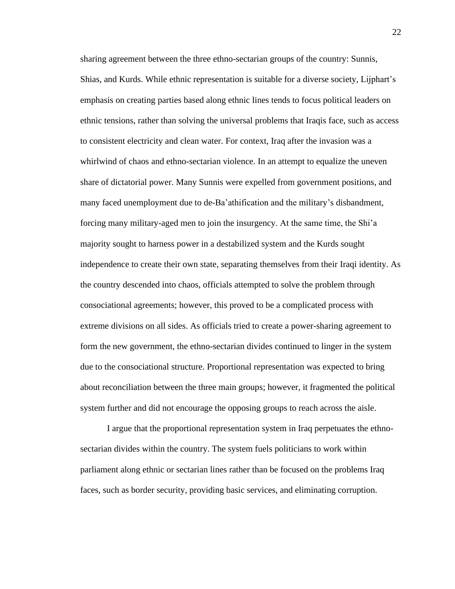sharing agreement between the three ethno-sectarian groups of the country: Sunnis, Shias, and Kurds. While ethnic representation is suitable for a diverse society, Lijphart's emphasis on creating parties based along ethnic lines tends to focus political leaders on ethnic tensions, rather than solving the universal problems that Iraqis face, such as access to consistent electricity and clean water. For context, Iraq after the invasion was a whirlwind of chaos and ethno-sectarian violence. In an attempt to equalize the uneven share of dictatorial power. Many Sunnis were expelled from government positions, and many faced unemployment due to de-Ba'athification and the military's disbandment, forcing many military-aged men to join the insurgency. At the same time, the Shi'a majority sought to harness power in a destabilized system and the Kurds sought independence to create their own state, separating themselves from their Iraqi identity. As the country descended into chaos, officials attempted to solve the problem through consociational agreements; however, this proved to be a complicated process with extreme divisions on all sides. As officials tried to create a power-sharing agreement to form the new government, the ethno-sectarian divides continued to linger in the system due to the consociational structure. Proportional representation was expected to bring about reconciliation between the three main groups; however, it fragmented the political system further and did not encourage the opposing groups to reach across the aisle.

I argue that the proportional representation system in Iraq perpetuates the ethnosectarian divides within the country. The system fuels politicians to work within parliament along ethnic or sectarian lines rather than be focused on the problems Iraq faces, such as border security, providing basic services, and eliminating corruption.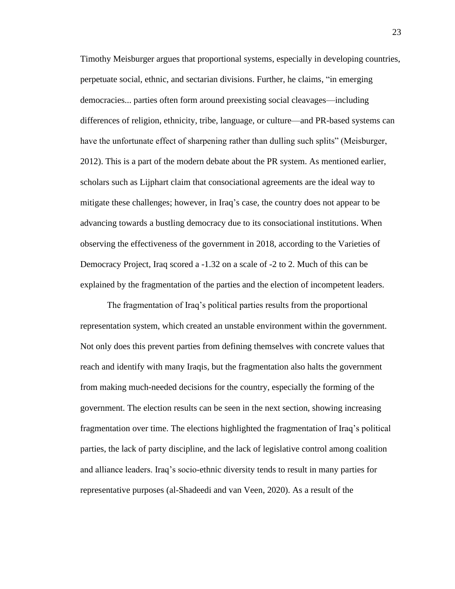Timothy Meisburger argues that proportional systems, especially in developing countries, perpetuate social, ethnic, and sectarian divisions. Further, he claims, "in emerging democracies... parties often form around preexisting social cleavages—including differences of religion, ethnicity, tribe, language, or culture—and PR-based systems can have the unfortunate effect of sharpening rather than dulling such splits" (Meisburger, 2012). This is a part of the modern debate about the PR system. As mentioned earlier, scholars such as Lijphart claim that consociational agreements are the ideal way to mitigate these challenges; however, in Iraq's case, the country does not appear to be advancing towards a bustling democracy due to its consociational institutions. When observing the effectiveness of the government in 2018, according to the Varieties of Democracy Project, Iraq scored a -1.32 on a scale of -2 to 2. Much of this can be explained by the fragmentation of the parties and the election of incompetent leaders.

The fragmentation of Iraq's political parties results from the proportional representation system, which created an unstable environment within the government. Not only does this prevent parties from defining themselves with concrete values that reach and identify with many Iraqis, but the fragmentation also halts the government from making much-needed decisions for the country, especially the forming of the government. The election results can be seen in the next section, showing increasing fragmentation over time. The elections highlighted the fragmentation of Iraq's political parties, the lack of party discipline, and the lack of legislative control among coalition and alliance leaders. Iraq's socio-ethnic diversity tends to result in many parties for representative purposes (al-Shadeedi and van Veen, 2020). As a result of the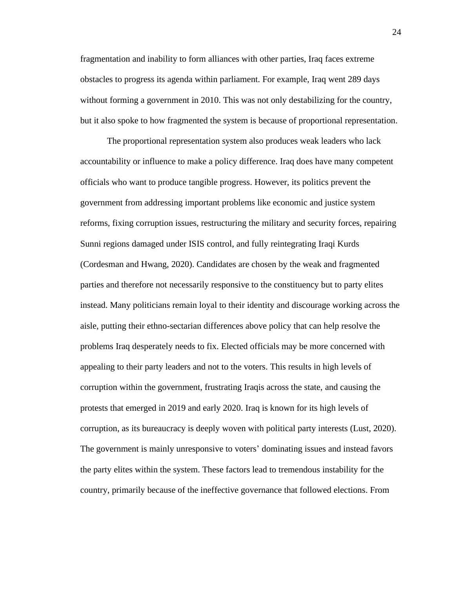fragmentation and inability to form alliances with other parties, Iraq faces extreme obstacles to progress its agenda within parliament. For example, Iraq went 289 days without forming a government in 2010. This was not only destabilizing for the country, but it also spoke to how fragmented the system is because of proportional representation.

The proportional representation system also produces weak leaders who lack accountability or influence to make a policy difference. Iraq does have many competent officials who want to produce tangible progress. However, its politics prevent the government from addressing important problems like economic and justice system reforms, fixing corruption issues, restructuring the military and security forces, repairing Sunni regions damaged under ISIS control, and fully reintegrating Iraqi Kurds (Cordesman and Hwang, 2020). Candidates are chosen by the weak and fragmented parties and therefore not necessarily responsive to the constituency but to party elites instead. Many politicians remain loyal to their identity and discourage working across the aisle, putting their ethno-sectarian differences above policy that can help resolve the problems Iraq desperately needs to fix. Elected officials may be more concerned with appealing to their party leaders and not to the voters. This results in high levels of corruption within the government, frustrating Iraqis across the state, and causing the protests that emerged in 2019 and early 2020. Iraq is known for its high levels of corruption, as its bureaucracy is deeply woven with political party interests (Lust, 2020). The government is mainly unresponsive to voters' dominating issues and instead favors the party elites within the system. These factors lead to tremendous instability for the country, primarily because of the ineffective governance that followed elections. From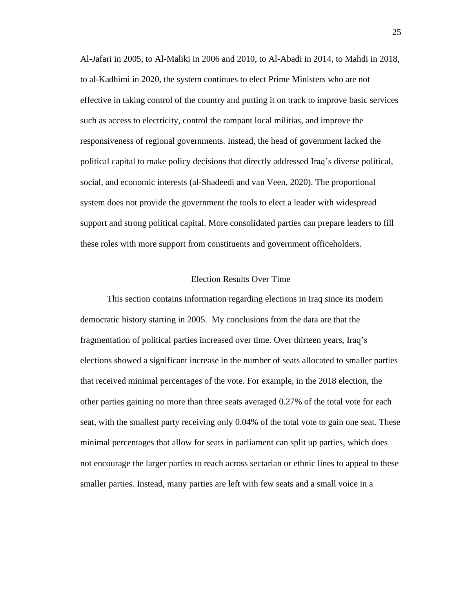Al-Jafari in 2005, to Al-Maliki in 2006 and 2010, to Al-Abadi in 2014, to Mahdi in 2018, to al-Kadhimi in 2020, the system continues to elect Prime Ministers who are not effective in taking control of the country and putting it on track to improve basic services such as access to electricity, control the rampant local militias, and improve the responsiveness of regional governments. Instead, the head of government lacked the political capital to make policy decisions that directly addressed Iraq's diverse political, social, and economic interests (al-Shadeedi and van Veen, 2020). The proportional system does not provide the government the tools to elect a leader with widespread support and strong political capital. More consolidated parties can prepare leaders to fill these roles with more support from constituents and government officeholders.

#### Election Results Over Time

<span id="page-27-0"></span>This section contains information regarding elections in Iraq since its modern democratic history starting in 2005. My conclusions from the data are that the fragmentation of political parties increased over time. Over thirteen years, Iraq's elections showed a significant increase in the number of seats allocated to smaller parties that received minimal percentages of the vote. For example, in the 2018 election, the other parties gaining no more than three seats averaged 0.27% of the total vote for each seat, with the smallest party receiving only 0.04% of the total vote to gain one seat. These minimal percentages that allow for seats in parliament can split up parties, which does not encourage the larger parties to reach across sectarian or ethnic lines to appeal to these smaller parties. Instead, many parties are left with few seats and a small voice in a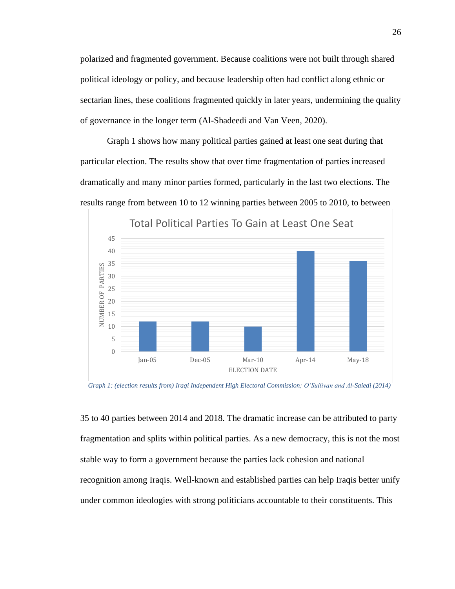polarized and fragmented government. Because coalitions were not built through shared political ideology or policy, and because leadership often had conflict along ethnic or sectarian lines, these coalitions fragmented quickly in later years, undermining the quality of governance in the longer term (Al-Shadeedi and Van Veen, 2020).

Graph 1 shows how many political parties gained at least one seat during that particular election. The results show that over time fragmentation of parties increased dramatically and many minor parties formed, particularly in the last two elections. The results range from between 10 to 12 winning parties between 2005 to 2010, to between



*Graph 1: (election results from) Iraqi Independent High Electoral Commission; O'Sullivan and Al-Saiedi (2014)* 

35 to 40 parties between 2014 and 2018. The dramatic increase can be attributed to party fragmentation and splits within political parties. As a new democracy, this is not the most stable way to form a government because the parties lack cohesion and national recognition among Iraqis. Well-known and established parties can help Iraqis better unify under common ideologies with strong politicians accountable to their constituents. This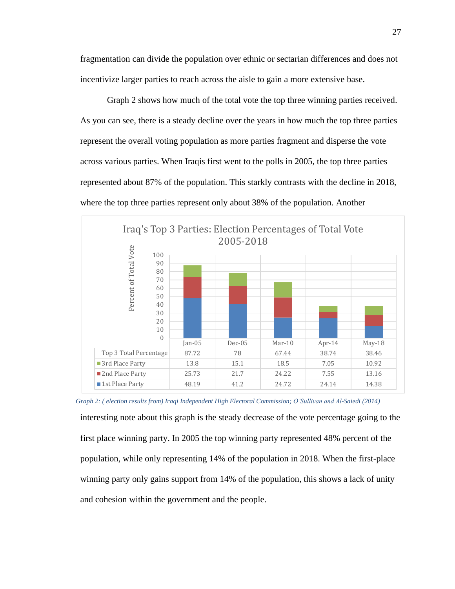fragmentation can divide the population over ethnic or sectarian differences and does not incentivize larger parties to reach across the aisle to gain a more extensive base.

Graph 2 shows how much of the total vote the top three winning parties received. As you can see, there is a steady decline over the years in how much the top three parties represent the overall voting population as more parties fragment and disperse the vote across various parties. When Iraqis first went to the polls in 2005, the top three parties represented about 87% of the population. This starkly contrasts with the decline in 2018, where the top three parties represent only about 38% of the population. Another



*Graph 2: ( election results from) Iraqi Independent High Electoral Commission; O'Sullivan and Al-Saiedi (2014)*

interesting note about this graph is the steady decrease of the vote percentage going to the first place winning party. In 2005 the top winning party represented 48% percent of the population, while only representing 14% of the population in 2018. When the first-place winning party only gains support from 14% of the population, this shows a lack of unity and cohesion within the government and the people.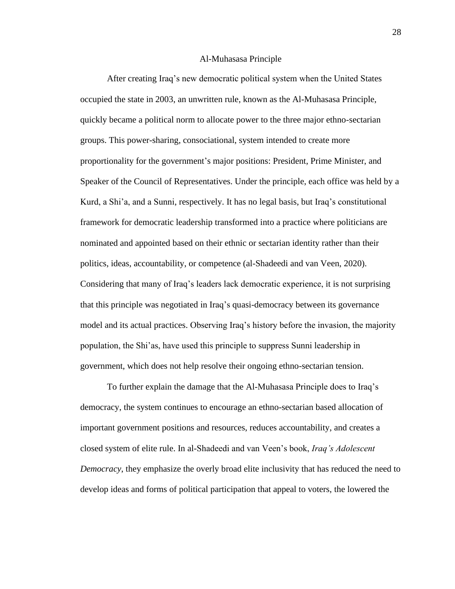#### Al-Muhasasa Principle

<span id="page-30-0"></span>After creating Iraq's new democratic political system when the United States occupied the state in 2003, an unwritten rule, known as the Al-Muhasasa Principle, quickly became a political norm to allocate power to the three major ethno-sectarian groups. This power-sharing, consociational, system intended to create more proportionality for the government's major positions: President, Prime Minister, and Speaker of the Council of Representatives. Under the principle, each office was held by a Kurd, a Shi'a, and a Sunni, respectively. It has no legal basis, but Iraq's constitutional framework for democratic leadership transformed into a practice where politicians are nominated and appointed based on their ethnic or sectarian identity rather than their politics, ideas, accountability, or competence (al-Shadeedi and van Veen, 2020). Considering that many of Iraq's leaders lack democratic experience, it is not surprising that this principle was negotiated in Iraq's quasi-democracy between its governance model and its actual practices. Observing Iraq's history before the invasion, the majority population, the Shi'as, have used this principle to suppress Sunni leadership in government, which does not help resolve their ongoing ethno-sectarian tension.

To further explain the damage that the Al-Muhasasa Principle does to Iraq's democracy, the system continues to encourage an ethno-sectarian based allocation of important government positions and resources, reduces accountability, and creates a closed system of elite rule. In al-Shadeedi and van Veen's book, *Iraq's Adolescent Democracy*, they emphasize the overly broad elite inclusivity that has reduced the need to develop ideas and forms of political participation that appeal to voters, the lowered the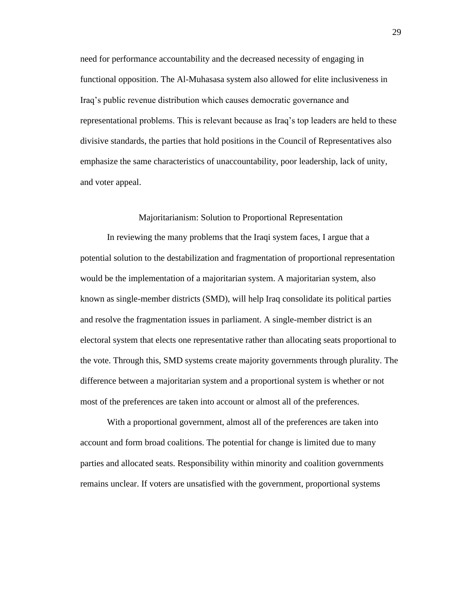need for performance accountability and the decreased necessity of engaging in functional opposition. The Al-Muhasasa system also allowed for elite inclusiveness in Iraq's public revenue distribution which causes democratic governance and representational problems. This is relevant because as Iraq's top leaders are held to these divisive standards, the parties that hold positions in the Council of Representatives also emphasize the same characteristics of unaccountability, poor leadership, lack of unity, and voter appeal.

#### Majoritarianism: Solution to Proportional Representation

<span id="page-31-0"></span>In reviewing the many problems that the Iraqi system faces, I argue that a potential solution to the destabilization and fragmentation of proportional representation would be the implementation of a majoritarian system. A majoritarian system, also known as single-member districts (SMD), will help Iraq consolidate its political parties and resolve the fragmentation issues in parliament. A single-member district is an electoral system that elects one representative rather than allocating seats proportional to the vote. Through this, SMD systems create majority governments through plurality. The difference between a majoritarian system and a proportional system is whether or not most of the preferences are taken into account or almost all of the preferences.

With a proportional government, almost all of the preferences are taken into account and form broad coalitions. The potential for change is limited due to many parties and allocated seats. Responsibility within minority and coalition governments remains unclear. If voters are unsatisfied with the government, proportional systems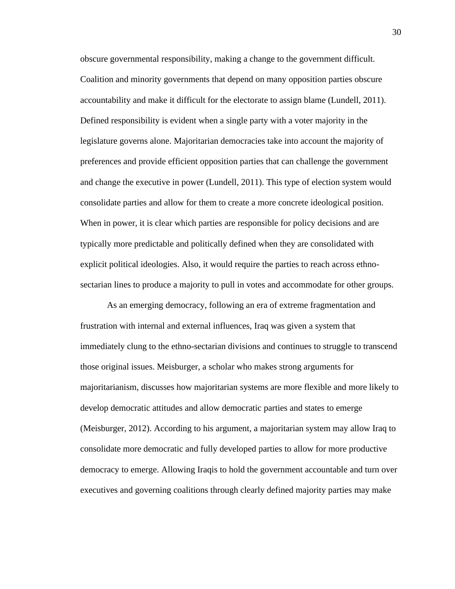obscure governmental responsibility, making a change to the government difficult. Coalition and minority governments that depend on many opposition parties obscure accountability and make it difficult for the electorate to assign blame (Lundell, 2011). Defined responsibility is evident when a single party with a voter majority in the legislature governs alone. Majoritarian democracies take into account the majority of preferences and provide efficient opposition parties that can challenge the government and change the executive in power (Lundell, 2011). This type of election system would consolidate parties and allow for them to create a more concrete ideological position. When in power, it is clear which parties are responsible for policy decisions and are typically more predictable and politically defined when they are consolidated with explicit political ideologies. Also, it would require the parties to reach across ethnosectarian lines to produce a majority to pull in votes and accommodate for other groups.

As an emerging democracy, following an era of extreme fragmentation and frustration with internal and external influences, Iraq was given a system that immediately clung to the ethno-sectarian divisions and continues to struggle to transcend those original issues. Meisburger, a scholar who makes strong arguments for majoritarianism, discusses how majoritarian systems are more flexible and more likely to develop democratic attitudes and allow democratic parties and states to emerge (Meisburger, 2012). According to his argument, a majoritarian system may allow Iraq to consolidate more democratic and fully developed parties to allow for more productive democracy to emerge. Allowing Iraqis to hold the government accountable and turn over executives and governing coalitions through clearly defined majority parties may make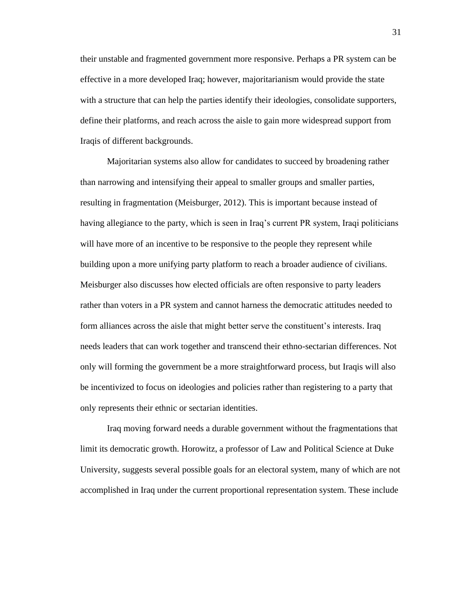their unstable and fragmented government more responsive. Perhaps a PR system can be effective in a more developed Iraq; however, majoritarianism would provide the state with a structure that can help the parties identify their ideologies, consolidate supporters, define their platforms, and reach across the aisle to gain more widespread support from Iraqis of different backgrounds.

Majoritarian systems also allow for candidates to succeed by broadening rather than narrowing and intensifying their appeal to smaller groups and smaller parties, resulting in fragmentation (Meisburger, 2012). This is important because instead of having allegiance to the party, which is seen in Iraq's current PR system, Iraqi politicians will have more of an incentive to be responsive to the people they represent while building upon a more unifying party platform to reach a broader audience of civilians. Meisburger also discusses how elected officials are often responsive to party leaders rather than voters in a PR system and cannot harness the democratic attitudes needed to form alliances across the aisle that might better serve the constituent's interests. Iraq needs leaders that can work together and transcend their ethno-sectarian differences. Not only will forming the government be a more straightforward process, but Iraqis will also be incentivized to focus on ideologies and policies rather than registering to a party that only represents their ethnic or sectarian identities.

Iraq moving forward needs a durable government without the fragmentations that limit its democratic growth. Horowitz, a professor of Law and Political Science at Duke University, suggests several possible goals for an electoral system, many of which are not accomplished in Iraq under the current proportional representation system. These include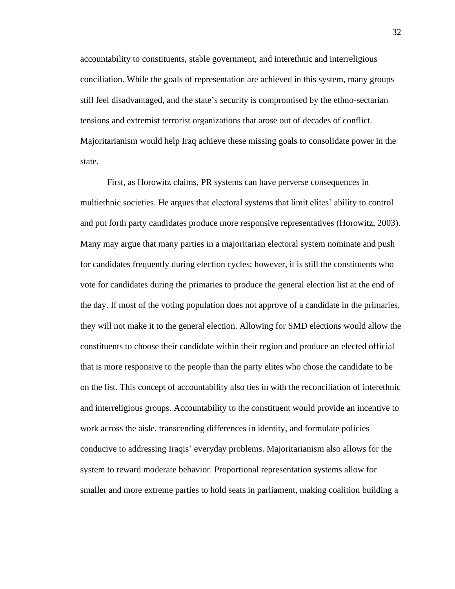accountability to constituents, stable government, and interethnic and interreligious conciliation. While the goals of representation are achieved in this system, many groups still feel disadvantaged, and the state's security is compromised by the ethno-sectarian tensions and extremist terrorist organizations that arose out of decades of conflict. Majoritarianism would help Iraq achieve these missing goals to consolidate power in the state.

First, as Horowitz claims, PR systems can have perverse consequences in multiethnic societies. He argues that electoral systems that limit elites' ability to control and put forth party candidates produce more responsive representatives (Horowitz, 2003). Many may argue that many parties in a majoritarian electoral system nominate and push for candidates frequently during election cycles; however, it is still the constituents who vote for candidates during the primaries to produce the general election list at the end of the day. If most of the voting population does not approve of a candidate in the primaries, they will not make it to the general election. Allowing for SMD elections would allow the constituents to choose their candidate within their region and produce an elected official that is more responsive to the people than the party elites who chose the candidate to be on the list. This concept of accountability also ties in with the reconciliation of interethnic and interreligious groups. Accountability to the constituent would provide an incentive to work across the aisle, transcending differences in identity, and formulate policies conducive to addressing Iraqis' everyday problems. Majoritarianism also allows for the system to reward moderate behavior. Proportional representation systems allow for smaller and more extreme parties to hold seats in parliament, making coalition building a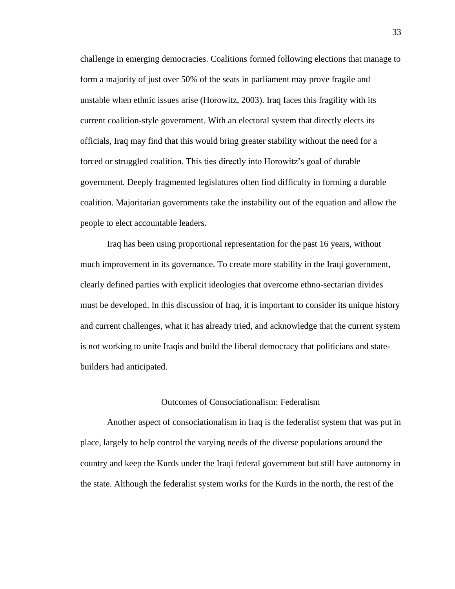challenge in emerging democracies. Coalitions formed following elections that manage to form a majority of just over 50% of the seats in parliament may prove fragile and unstable when ethnic issues arise (Horowitz, 2003). Iraq faces this fragility with its current coalition-style government. With an electoral system that directly elects its officials, Iraq may find that this would bring greater stability without the need for a forced or struggled coalition. This ties directly into Horowitz's goal of durable government. Deeply fragmented legislatures often find difficulty in forming a durable coalition. Majoritarian governments take the instability out of the equation and allow the people to elect accountable leaders.

Iraq has been using proportional representation for the past 16 years, without much improvement in its governance. To create more stability in the Iraqi government, clearly defined parties with explicit ideologies that overcome ethno-sectarian divides must be developed. In this discussion of Iraq, it is important to consider its unique history and current challenges, what it has already tried, and acknowledge that the current system is not working to unite Iraqis and build the liberal democracy that politicians and statebuilders had anticipated.

#### Outcomes of Consociationalism: Federalism

<span id="page-35-0"></span>Another aspect of consociationalism in Iraq is the federalist system that was put in place, largely to help control the varying needs of the diverse populations around the country and keep the Kurds under the Iraqi federal government but still have autonomy in the state. Although the federalist system works for the Kurds in the north, the rest of the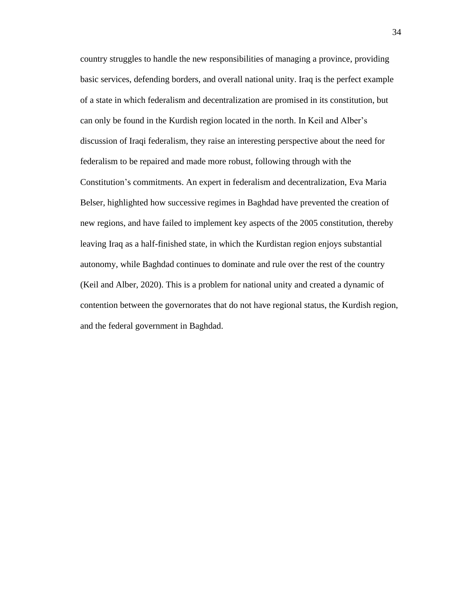country struggles to handle the new responsibilities of managing a province, providing basic services, defending borders, and overall national unity. Iraq is the perfect example of a state in which federalism and decentralization are promised in its constitution, but can only be found in the Kurdish region located in the north. In Keil and Alber's discussion of Iraqi federalism, they raise an interesting perspective about the need for federalism to be repaired and made more robust, following through with the Constitution's commitments. An expert in federalism and decentralization, Eva Maria Belser, highlighted how successive regimes in Baghdad have prevented the creation of new regions, and have failed to implement key aspects of the 2005 constitution, thereby leaving Iraq as a half-finished state, in which the Kurdistan region enjoys substantial autonomy, while Baghdad continues to dominate and rule over the rest of the country (Keil and Alber, 2020). This is a problem for national unity and created a dynamic of contention between the governorates that do not have regional status, the Kurdish region, and the federal government in Baghdad.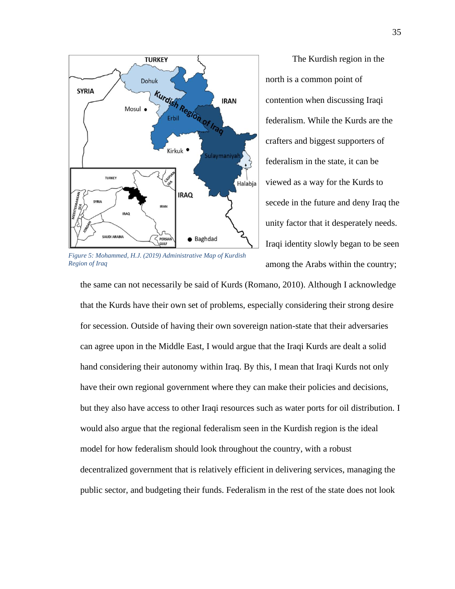

*Figure 5: Mohammed, H.J. (2019) Administrative Map of Kurdish Region of Iraq*

The Kurdish region in the north is a common point of contention when discussing Iraqi federalism. While the Kurds are the crafters and biggest supporters of federalism in the state, it can be viewed as a way for the Kurds to secede in the future and deny Iraq the unity factor that it desperately needs. Iraqi identity slowly began to be seen among the Arabs within the country;

the same can not necessarily be said of Kurds (Romano, 2010). Although I acknowledge that the Kurds have their own set of problems, especially considering their strong desire for secession. Outside of having their own sovereign nation-state that their adversaries can agree upon in the Middle East, I would argue that the Iraqi Kurds are dealt a solid hand considering their autonomy within Iraq. By this, I mean that Iraqi Kurds not only have their own regional government where they can make their policies and decisions, but they also have access to other Iraqi resources such as water ports for oil distribution. I would also argue that the regional federalism seen in the Kurdish region is the ideal model for how federalism should look throughout the country, with a robust decentralized government that is relatively efficient in delivering services, managing the public sector, and budgeting their funds. Federalism in the rest of the state does not look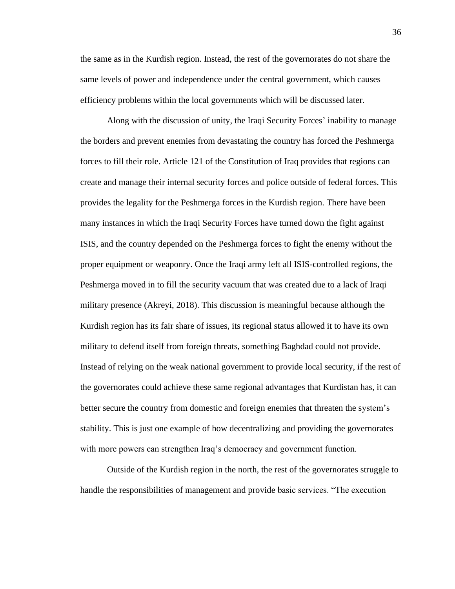the same as in the Kurdish region. Instead, the rest of the governorates do not share the same levels of power and independence under the central government, which causes efficiency problems within the local governments which will be discussed later.

Along with the discussion of unity, the Iraqi Security Forces' inability to manage the borders and prevent enemies from devastating the country has forced the Peshmerga forces to fill their role. Article 121 of the Constitution of Iraq provides that regions can create and manage their internal security forces and police outside of federal forces. This provides the legality for the Peshmerga forces in the Kurdish region. There have been many instances in which the Iraqi Security Forces have turned down the fight against ISIS, and the country depended on the Peshmerga forces to fight the enemy without the proper equipment or weaponry. Once the Iraqi army left all ISIS-controlled regions, the Peshmerga moved in to fill the security vacuum that was created due to a lack of Iraqi military presence (Akreyi, 2018). This discussion is meaningful because although the Kurdish region has its fair share of issues, its regional status allowed it to have its own military to defend itself from foreign threats, something Baghdad could not provide. Instead of relying on the weak national government to provide local security, if the rest of the governorates could achieve these same regional advantages that Kurdistan has, it can better secure the country from domestic and foreign enemies that threaten the system's stability. This is just one example of how decentralizing and providing the governorates with more powers can strengthen Iraq's democracy and government function.

Outside of the Kurdish region in the north, the rest of the governorates struggle to handle the responsibilities of management and provide basic services. "The execution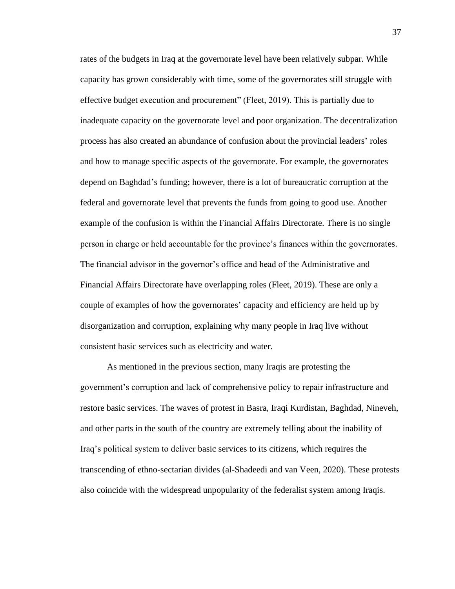rates of the budgets in Iraq at the governorate level have been relatively subpar. While capacity has grown considerably with time, some of the governorates still struggle with effective budget execution and procurement" (Fleet, 2019). This is partially due to inadequate capacity on the governorate level and poor organization. The decentralization process has also created an abundance of confusion about the provincial leaders' roles and how to manage specific aspects of the governorate. For example, the governorates depend on Baghdad's funding; however, there is a lot of bureaucratic corruption at the federal and governorate level that prevents the funds from going to good use. Another example of the confusion is within the Financial Affairs Directorate. There is no single person in charge or held accountable for the province's finances within the governorates. The financial advisor in the governor's office and head of the Administrative and Financial Affairs Directorate have overlapping roles (Fleet, 2019). These are only a couple of examples of how the governorates' capacity and efficiency are held up by disorganization and corruption, explaining why many people in Iraq live without consistent basic services such as electricity and water.

As mentioned in the previous section, many Iraqis are protesting the government's corruption and lack of comprehensive policy to repair infrastructure and restore basic services. The waves of protest in Basra, Iraqi Kurdistan, Baghdad, Nineveh, and other parts in the south of the country are extremely telling about the inability of Iraq's political system to deliver basic services to its citizens, which requires the transcending of ethno-sectarian divides (al-Shadeedi and van Veen, 2020). These protests also coincide with the widespread unpopularity of the federalist system among Iraqis.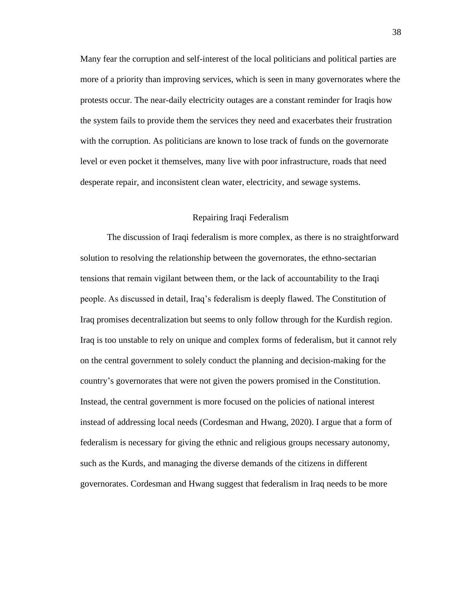Many fear the corruption and self-interest of the local politicians and political parties are more of a priority than improving services, which is seen in many governorates where the protests occur. The near-daily electricity outages are a constant reminder for Iraqis how the system fails to provide them the services they need and exacerbates their frustration with the corruption. As politicians are known to lose track of funds on the governorate level or even pocket it themselves, many live with poor infrastructure, roads that need desperate repair, and inconsistent clean water, electricity, and sewage systems.

#### Repairing Iraqi Federalism

<span id="page-40-0"></span>The discussion of Iraqi federalism is more complex, as there is no straightforward solution to resolving the relationship between the governorates, the ethno-sectarian tensions that remain vigilant between them, or the lack of accountability to the Iraqi people. As discussed in detail, Iraq's federalism is deeply flawed. The Constitution of Iraq promises decentralization but seems to only follow through for the Kurdish region. Iraq is too unstable to rely on unique and complex forms of federalism, but it cannot rely on the central government to solely conduct the planning and decision-making for the country's governorates that were not given the powers promised in the Constitution. Instead, the central government is more focused on the policies of national interest instead of addressing local needs (Cordesman and Hwang, 2020). I argue that a form of federalism is necessary for giving the ethnic and religious groups necessary autonomy, such as the Kurds, and managing the diverse demands of the citizens in different governorates. Cordesman and Hwang suggest that federalism in Iraq needs to be more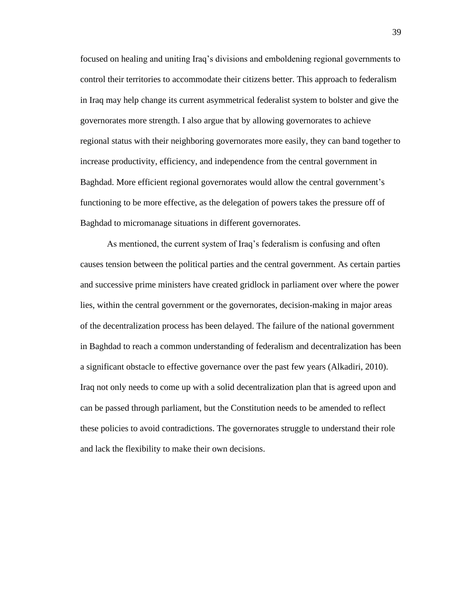focused on healing and uniting Iraq's divisions and emboldening regional governments to control their territories to accommodate their citizens better. This approach to federalism in Iraq may help change its current asymmetrical federalist system to bolster and give the governorates more strength. I also argue that by allowing governorates to achieve regional status with their neighboring governorates more easily, they can band together to increase productivity, efficiency, and independence from the central government in Baghdad. More efficient regional governorates would allow the central government's functioning to be more effective, as the delegation of powers takes the pressure off of Baghdad to micromanage situations in different governorates.

As mentioned, the current system of Iraq's federalism is confusing and often causes tension between the political parties and the central government. As certain parties and successive prime ministers have created gridlock in parliament over where the power lies, within the central government or the governorates, decision-making in major areas of the decentralization process has been delayed. The failure of the national government in Baghdad to reach a common understanding of federalism and decentralization has been a significant obstacle to effective governance over the past few years (Alkadiri, 2010). Iraq not only needs to come up with a solid decentralization plan that is agreed upon and can be passed through parliament, but the Constitution needs to be amended to reflect these policies to avoid contradictions. The governorates struggle to understand their role and lack the flexibility to make their own decisions.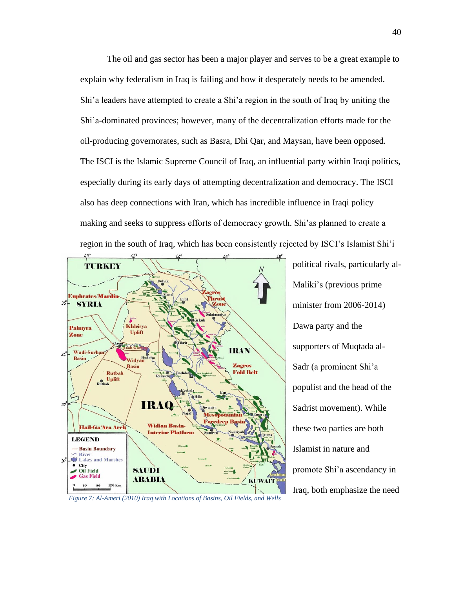The oil and gas sector has been a major player and serves to be a great example to explain why federalism in Iraq is failing and how it desperately needs to be amended. Shi'a leaders have attempted to create a Shi'a region in the south of Iraq by uniting the Shi'a-dominated provinces; however, many of the decentralization efforts made for the oil-producing governorates, such as Basra, Dhi Qar, and Maysan, have been opposed. The ISCI is the Islamic Supreme Council of Iraq, an influential party within Iraqi politics, especially during its early days of attempting decentralization and democracy. The ISCI also has deep connections with Iran, which has incredible influence in Iraqi policy making and seeks to suppress efforts of democracy growth. Shi'as planned to create a region in the south of Iraq, which has been consistently rejected by ISCI's Islamist Shi'i



Maliki's (previous prime minister from 2006-2014) Dawa party and the supporters of Muqtada al-Sadr (a prominent Shi'a populist and the head of the Sadrist movement). While these two parties are both Islamist in nature and promote Shi'a ascendancy in Iraq, both emphasize the need

political rivals, particularly al-

*Figure 7: Al-Ameri (2010) Iraq with Locations of Basins, Oil Fields, and Wells*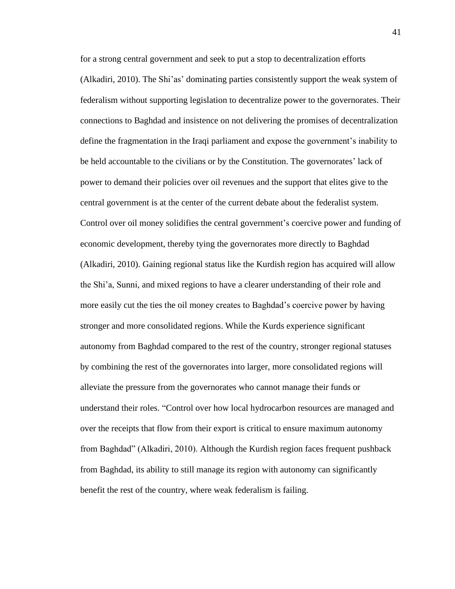for a strong central government and seek to put a stop to decentralization efforts (Alkadiri, 2010). The Shi'as' dominating parties consistently support the weak system of federalism without supporting legislation to decentralize power to the governorates. Their connections to Baghdad and insistence on not delivering the promises of decentralization define the fragmentation in the Iraqi parliament and expose the government's inability to be held accountable to the civilians or by the Constitution. The governorates' lack of power to demand their policies over oil revenues and the support that elites give to the central government is at the center of the current debate about the federalist system. Control over oil money solidifies the central government's coercive power and funding of economic development, thereby tying the governorates more directly to Baghdad (Alkadiri, 2010). Gaining regional status like the Kurdish region has acquired will allow the Shi'a, Sunni, and mixed regions to have a clearer understanding of their role and more easily cut the ties the oil money creates to Baghdad's coercive power by having stronger and more consolidated regions. While the Kurds experience significant autonomy from Baghdad compared to the rest of the country, stronger regional statuses by combining the rest of the governorates into larger, more consolidated regions will alleviate the pressure from the governorates who cannot manage their funds or understand their roles. "Control over how local hydrocarbon resources are managed and over the receipts that flow from their export is critical to ensure maximum autonomy from Baghdad" (Alkadiri, 2010). Although the Kurdish region faces frequent pushback from Baghdad, its ability to still manage its region with autonomy can significantly benefit the rest of the country, where weak federalism is failing.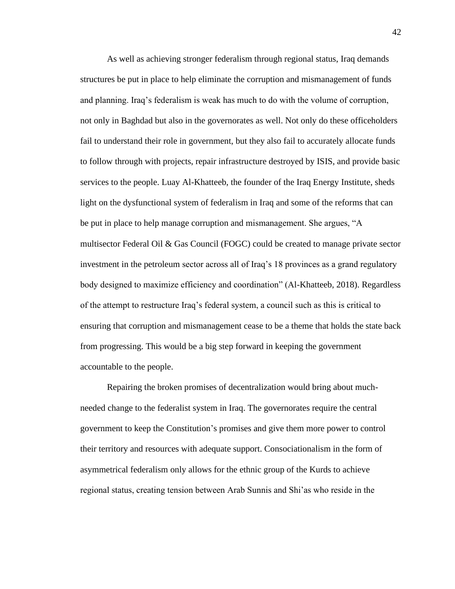As well as achieving stronger federalism through regional status, Iraq demands structures be put in place to help eliminate the corruption and mismanagement of funds and planning. Iraq's federalism is weak has much to do with the volume of corruption, not only in Baghdad but also in the governorates as well. Not only do these officeholders fail to understand their role in government, but they also fail to accurately allocate funds to follow through with projects, repair infrastructure destroyed by ISIS, and provide basic services to the people. Luay Al-Khatteeb, the founder of the Iraq Energy Institute, sheds light on the dysfunctional system of federalism in Iraq and some of the reforms that can be put in place to help manage corruption and mismanagement. She argues, "A multisector Federal Oil & Gas Council (FOGC) could be created to manage private sector investment in the petroleum sector across all of Iraq's 18 provinces as a grand regulatory body designed to maximize efficiency and coordination" (Al-Khatteeb, 2018). Regardless of the attempt to restructure Iraq's federal system, a council such as this is critical to ensuring that corruption and mismanagement cease to be a theme that holds the state back from progressing. This would be a big step forward in keeping the government accountable to the people.

Repairing the broken promises of decentralization would bring about muchneeded change to the federalist system in Iraq. The governorates require the central government to keep the Constitution's promises and give them more power to control their territory and resources with adequate support. Consociationalism in the form of asymmetrical federalism only allows for the ethnic group of the Kurds to achieve regional status, creating tension between Arab Sunnis and Shi'as who reside in the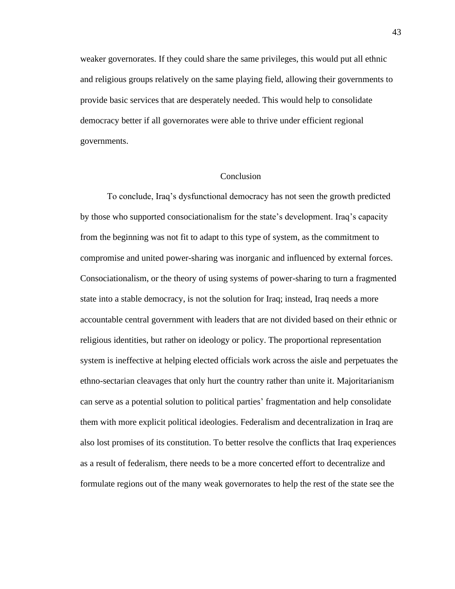weaker governorates. If they could share the same privileges, this would put all ethnic and religious groups relatively on the same playing field, allowing their governments to provide basic services that are desperately needed. This would help to consolidate democracy better if all governorates were able to thrive under efficient regional governments.

#### Conclusion

<span id="page-45-0"></span>To conclude, Iraq's dysfunctional democracy has not seen the growth predicted by those who supported consociationalism for the state's development. Iraq's capacity from the beginning was not fit to adapt to this type of system, as the commitment to compromise and united power-sharing was inorganic and influenced by external forces. Consociationalism, or the theory of using systems of power-sharing to turn a fragmented state into a stable democracy, is not the solution for Iraq; instead, Iraq needs a more accountable central government with leaders that are not divided based on their ethnic or religious identities, but rather on ideology or policy. The proportional representation system is ineffective at helping elected officials work across the aisle and perpetuates the ethno-sectarian cleavages that only hurt the country rather than unite it. Majoritarianism can serve as a potential solution to political parties' fragmentation and help consolidate them with more explicit political ideologies. Federalism and decentralization in Iraq are also lost promises of its constitution. To better resolve the conflicts that Iraq experiences as a result of federalism, there needs to be a more concerted effort to decentralize and formulate regions out of the many weak governorates to help the rest of the state see the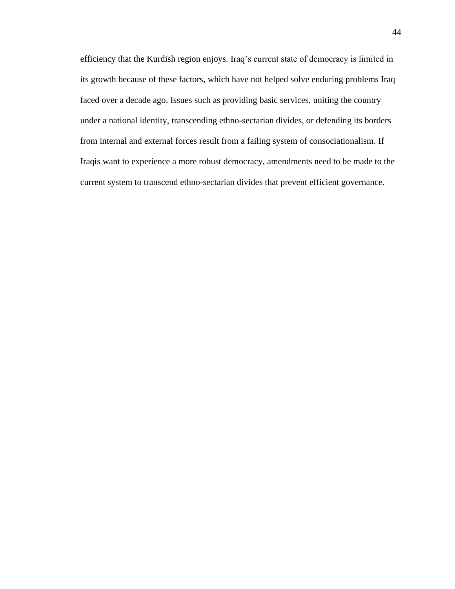efficiency that the Kurdish region enjoys. Iraq's current state of democracy is limited in its growth because of these factors, which have not helped solve enduring problems Iraq faced over a decade ago. Issues such as providing basic services, uniting the country under a national identity, transcending ethno-sectarian divides, or defending its borders from internal and external forces result from a failing system of consociationalism. If Iraqis want to experience a more robust democracy, amendments need to be made to the current system to transcend ethno-sectarian divides that prevent efficient governance.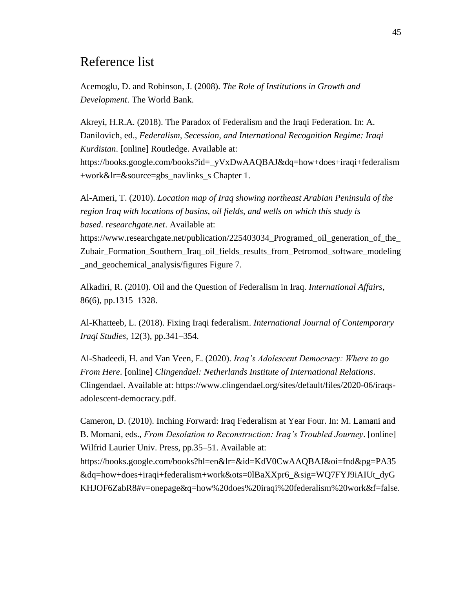### Reference list

Acemoglu, D. and Robinson, J. (2008). *The Role of Institutions in Growth and Development*. The World Bank.

Akreyi, H.R.A. (2018). The Paradox of Federalism and the Iraqi Federation. In: A. Danilovich, ed., *Federalism, Secession, and International Recognition Regime: Iraqi Kurdistan*. [online] Routledge. Available at: https://books.google.com/books?id=\_yVxDwAAQBAJ&dq=how+does+iraqi+federalism +work&lr=&source=gbs\_navlinks\_s Chapter 1.

Al-Ameri, T. (2010). *Location map of Iraq showing northeast Arabian Peninsula of the region Iraq with locations of basins, oil fields, and wells on which this study is based*. *researchgate.net*. Available at:

https://www.researchgate.net/publication/225403034\_Programed\_oil\_generation\_of\_the\_ Zubair\_Formation\_Southern\_Iraq\_oil\_fields\_results\_from\_Petromod\_software\_modeling \_and\_geochemical\_analysis/figures Figure 7.

Alkadiri, R. (2010). Oil and the Question of Federalism in Iraq. *International Affairs*, 86(6), pp.1315–1328.

Al-Khatteeb, L. (2018). Fixing Iraqi federalism. *International Journal of Contemporary Iraqi Studies*, 12(3), pp.341–354.

Al-Shadeedi, H. and Van Veen, E. (2020). *Iraq's Adolescent Democracy: Where to go From Here*. [online] *Clingendael: Netherlands Institute of International Relations*. Clingendael. Available at: https://www.clingendael.org/sites/default/files/2020-06/iraqsadolescent-democracy.pdf.

Cameron, D. (2010). Inching Forward: Iraq Federalism at Year Four. In: M. Lamani and B. Momani, eds., *From Desolation to Reconstruction: Iraq's Troubled Journey*. [online] Wilfrid Laurier Univ. Press, pp.35–51. Available at: https://books.google.com/books?hl=en&lr=&id=KdV0CwAAQBAJ&oi=fnd&pg=PA35

&dq=how+does+iraqi+federalism+work&ots=0lBaXXpr6\_&sig=WQ7FYJ9iAIUt\_dyG KHJOF6ZabR8#v=onepage&q=how%20does%20iraqi%20federalism%20work&f=false.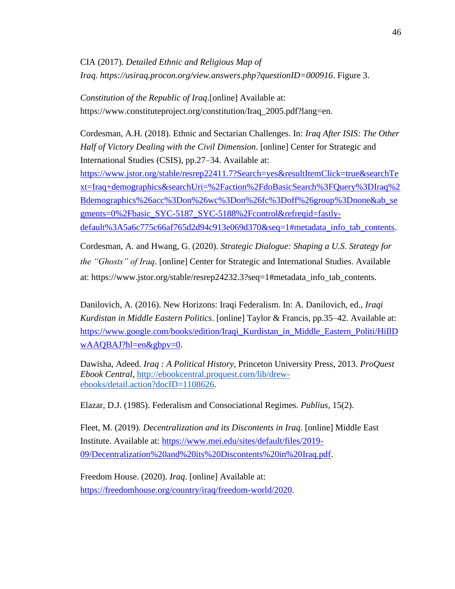CIA (2017). *Detailed Ethnic and Religious Map of Iraq*. *https://usiraq.procon.org/view.answers.php?questionID=000916*. Figure 3.

*Constitution of the Republic of Iraq*.[online] Available at: https://www.constituteproject.org/constitution/Iraq\_2005.pdf?lang=en.

Cordesman, A.H. (2018). Ethnic and Sectarian Challenges. In: *Iraq After ISIS: The Other Half of Victory Dealing with the Civil Dimension*. [online] Center for Strategic and International Studies (CSIS), pp.27–34. Available at: [https://www.jstor.org/stable/resrep22411.7?Search=yes&resultItemClick=true&searchTe](https://www.jstor.org/stable/resrep22411.7?Search=yes&resultItemClick=true&searchText=Iraq+demographics&searchUri=%2Faction%2FdoBasicSearch%3FQuery%3DIraq%2Bdemographics%26acc%3Don%26wc%3Don%26fc%3Doff%26group%3Dnone&ab_segments=0%2Fbasic_SYC-5187_SYC-5188%2Fcontrol&refreqid=fastly-default%3A5a6c775c66af765d2d94c913e069d370&seq=1#metadata_info_tab_contents) [xt=Iraq+demographics&searchUri=%2Faction%2FdoBasicSearch%3FQuery%3DIraq%2](https://www.jstor.org/stable/resrep22411.7?Search=yes&resultItemClick=true&searchText=Iraq+demographics&searchUri=%2Faction%2FdoBasicSearch%3FQuery%3DIraq%2Bdemographics%26acc%3Don%26wc%3Don%26fc%3Doff%26group%3Dnone&ab_segments=0%2Fbasic_SYC-5187_SYC-5188%2Fcontrol&refreqid=fastly-default%3A5a6c775c66af765d2d94c913e069d370&seq=1#metadata_info_tab_contents) [Bdemographics%26acc%3Don%26wc%3Don%26fc%3Doff%26group%3Dnone&ab\\_se](https://www.jstor.org/stable/resrep22411.7?Search=yes&resultItemClick=true&searchText=Iraq+demographics&searchUri=%2Faction%2FdoBasicSearch%3FQuery%3DIraq%2Bdemographics%26acc%3Don%26wc%3Don%26fc%3Doff%26group%3Dnone&ab_segments=0%2Fbasic_SYC-5187_SYC-5188%2Fcontrol&refreqid=fastly-default%3A5a6c775c66af765d2d94c913e069d370&seq=1#metadata_info_tab_contents) [gments=0%2Fbasic\\_SYC-5187\\_SYC-5188%2Fcontrol&refreqid=fastly-](https://www.jstor.org/stable/resrep22411.7?Search=yes&resultItemClick=true&searchText=Iraq+demographics&searchUri=%2Faction%2FdoBasicSearch%3FQuery%3DIraq%2Bdemographics%26acc%3Don%26wc%3Don%26fc%3Doff%26group%3Dnone&ab_segments=0%2Fbasic_SYC-5187_SYC-5188%2Fcontrol&refreqid=fastly-default%3A5a6c775c66af765d2d94c913e069d370&seq=1#metadata_info_tab_contents)

[default%3A5a6c775c66af765d2d94c913e069d370&seq=1#metadata\\_info\\_tab\\_contents.](https://www.jstor.org/stable/resrep22411.7?Search=yes&resultItemClick=true&searchText=Iraq+demographics&searchUri=%2Faction%2FdoBasicSearch%3FQuery%3DIraq%2Bdemographics%26acc%3Don%26wc%3Don%26fc%3Doff%26group%3Dnone&ab_segments=0%2Fbasic_SYC-5187_SYC-5188%2Fcontrol&refreqid=fastly-default%3A5a6c775c66af765d2d94c913e069d370&seq=1#metadata_info_tab_contents)

Cordesman, A. and Hwang, G. (2020). *Strategic Dialogue: Shaping a U.S. Strategy for the "Ghosts" of Iraq*. [online] Center for Strategic and International Studies. Available at: https://www.jstor.org/stable/resrep24232.3?seq=1#metadata\_info\_tab\_contents.

Danilovich, A. (2016). New Horizons: Iraqi Federalism. In: A. Danilovich, ed., *Iraqi Kurdistan in Middle Eastern Politics*. [online] Taylor & Francis, pp.35–42. Available at: [https://www.google.com/books/edition/Iraqi\\_Kurdistan\\_in\\_Middle\\_Eastern\\_Politi/HiIlD](https://www.google.com/books/edition/Iraqi_Kurdistan_in_Middle_Eastern_Politi/HiIlDwAAQBAJ?hl=en&gbpv=0) [wAAQBAJ?hl=en&gbpv=0.](https://www.google.com/books/edition/Iraqi_Kurdistan_in_Middle_Eastern_Politi/HiIlDwAAQBAJ?hl=en&gbpv=0)

Dawisha, Adeed. *Iraq : A Political History*, Princeton University Press, 2013. *ProQuest Ebook Central*, [http://ebookcentral.proquest.com/lib/drew](http://ebookcentral.proquest.com/lib/drew-ebooks/detail.action?docID=1108626)[ebooks/detail.action?docID=1108626.](http://ebookcentral.proquest.com/lib/drew-ebooks/detail.action?docID=1108626)

Elazar, D.J. (1985). Federalism and Consociational Regimes. *Publius*, 15(2).

Fleet, M. (2019). *Decentralization and its Discontents in Iraq*. [online] Middle East Institute. Available at: [https://www.mei.edu/sites/default/files/2019-](https://www.mei.edu/sites/default/files/2019-09/Decentralization%20and%20its%20Discontents%20in%20Iraq.pdf) [09/Decentralization%20and%20its%20Discontents%20in%20Iraq.pdf.](https://www.mei.edu/sites/default/files/2019-09/Decentralization%20and%20its%20Discontents%20in%20Iraq.pdf)

Freedom House. (2020). *Iraq*. [online] Available at: [https://freedomhouse.org/country/iraq/freedom-world/2020.](https://freedomhouse.org/country/iraq/freedom-world/2020)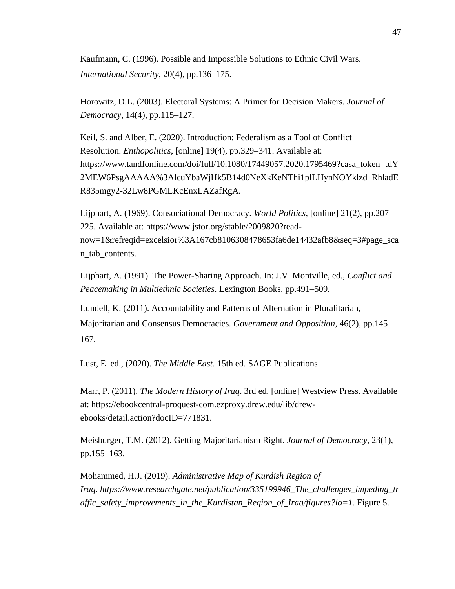Kaufmann, C. (1996). Possible and Impossible Solutions to Ethnic Civil Wars. *International Security*, 20(4), pp.136–175.

Horowitz, D.L. (2003). Electoral Systems: A Primer for Decision Makers. *Journal of Democracy*, 14(4), pp.115–127.

Keil, S. and Alber, E. (2020). Introduction: Federalism as a Tool of Conflict Resolution. *Enthopolitics*, [online] 19(4), pp.329–341. Available at: https://www.tandfonline.com/doi/full/10.1080/17449057.2020.1795469?casa\_token=tdY 2MEW6PsgAAAAA%3AlcuYbaWjHk5B14d0NeXkKeNThi1plLHynNOYklzd\_RhladE R835mgy2-32Lw8PGMLKcEnxLAZafRgA.

Lijphart, A. (1969). Consociational Democracy. *World Politics*, [online] 21(2), pp.207– 225. Available at: https://www.jstor.org/stable/2009820?readnow=1&refreqid=excelsior%3A167cb8106308478653fa6de14432afb8&seq=3#page\_sca n\_tab\_contents.

Lijphart, A. (1991). The Power-Sharing Approach. In: J.V. Montville, ed., *Conflict and Peacemaking in Multiethnic Societies*. Lexington Books, pp.491–509.

Lundell, K. (2011). Accountability and Patterns of Alternation in Pluralitarian, Majoritarian and Consensus Democracies. *Government and Opposition*, 46(2), pp.145– 167.

Lust, E. ed., (2020). *The Middle East*. 15th ed. SAGE Publications.

Marr, P. (2011). *The Modern History of Iraq*. 3rd ed. [online] Westview Press. Available at: https://ebookcentral-proquest-com.ezproxy.drew.edu/lib/drewebooks/detail.action?docID=771831.

Meisburger, T.M. (2012). Getting Majoritarianism Right. *Journal of Democracy*, 23(1), pp.155–163.

Mohammed, H.J. (2019). *Administrative Map of Kurdish Region of Iraq*. *https://www.researchgate.net/publication/335199946\_The\_challenges\_impeding\_tr affic\_safety\_improvements\_in\_the\_Kurdistan\_Region\_of\_Iraq/figures?lo=1*. Figure 5.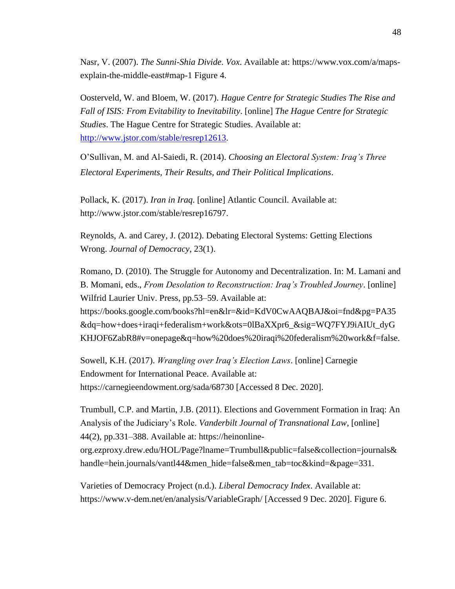Nasr, V. (2007). *The Sunni-Shia Divide*. *Vox*. Available at: https://www.vox.com/a/mapsexplain-the-middle-east#map-1 Figure 4.

Oosterveld, W. and Bloem, W. (2017). *Hague Centre for Strategic Studies The Rise and Fall of ISIS: From Evitability to Inevitability*. [online] *The Hague Centre for Strategic Studies*. The Hague Centre for Strategic Studies. Available at: [http://www.jstor.com/stable/resrep12613.](http://www.jstor.com/stable/resrep12613)

O'Sullivan, M. and Al-Saiedi, R. (2014). *Choosing an Electoral System: Iraq's Three Electoral Experiments, Their Results, and Their Political Implications*.

Pollack, K. (2017). *Iran in Iraq*. [online] Atlantic Council. Available at: http://www.jstor.com/stable/resrep16797.

Reynolds, A. and Carey, J. (2012). Debating Electoral Systems: Getting Elections Wrong. *Journal of Democracy*, 23(1).

Romano, D. (2010). The Struggle for Autonomy and Decentralization. In: M. Lamani and B. Momani, eds., *From Desolation to Reconstruction: Iraq's Troubled Journey*. [online] Wilfrid Laurier Univ. Press, pp.53–59. Available at: https://books.google.com/books?hl=en&lr=&id=KdV0CwAAQBAJ&oi=fnd&pg=PA35 &dq=how+does+iraqi+federalism+work&ots=0lBaXXpr6\_&sig=WQ7FYJ9iAIUt\_dyG KHJOF6ZabR8#v=onepage&q=how%20does%20iraqi%20federalism%20work&f=false.

Sowell, K.H. (2017). *Wrangling over Iraq's Election Laws*. [online] Carnegie Endowment for International Peace. Available at: https://carnegieendowment.org/sada/68730 [Accessed 8 Dec. 2020].

Trumbull, C.P. and Martin, J.B. (2011). Elections and Government Formation in Iraq: An Analysis of the Judiciary's Role. *Vanderbilt Journal of Transnational Law*, [online] 44(2), pp.331–388. Available at: https://heinonline-

org.ezproxy.drew.edu/HOL/Page?lname=Trumbull&public=false&collection=journals& handle=hein.journals/vantl44&men\_hide=false&men\_tab=toc&kind=&page=331.

Varieties of Democracy Project (n.d.). *Liberal Democracy Index*. Available at: https://www.v-dem.net/en/analysis/VariableGraph/ [Accessed 9 Dec. 2020]. Figure 6.